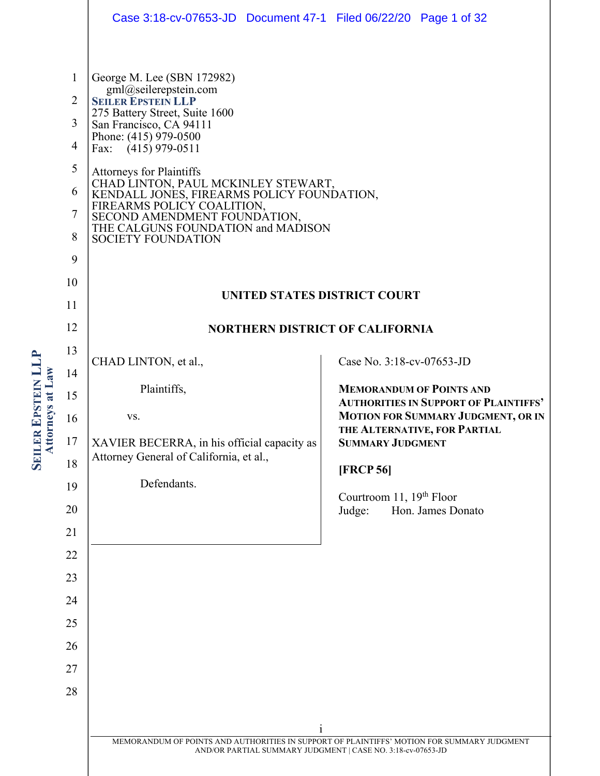|                                                                                                | Case 3:18-cv-07653-JD  Document 47-1  Filed 06/22/20  Page 1 of 32                                                                                                                                                                                                                                                                                                                                                                                  |                                                                                                                                                                                         |  |  |  |
|------------------------------------------------------------------------------------------------|-----------------------------------------------------------------------------------------------------------------------------------------------------------------------------------------------------------------------------------------------------------------------------------------------------------------------------------------------------------------------------------------------------------------------------------------------------|-----------------------------------------------------------------------------------------------------------------------------------------------------------------------------------------|--|--|--|
| $\mathbf{1}$<br>$\overline{2}$<br>3<br>$\overline{\mathcal{A}}$<br>5<br>6<br>7<br>8<br>9<br>10 | George M. Lee (SBN 172982)<br>gml@seilerepstein.com<br><b>SEILER EPSTEIN LLP</b><br>275 Battery Street, Suite 1600<br>San Francisco, CA 94111<br>Phone: (415) 979-0500<br>Fax: (415) 979-0511<br><b>Attorneys for Plaintiffs</b><br>CHAD LINTON, PAUL MCKINLEY STEWART,<br>KENDALL JONES, FIREARMS POLICY FOUNDATION,<br>FIREARMS POLICY COALITION, SECOND AMENDMENT FOUNDATION,<br>THE CALGUNS FOUNDATION and MADISON<br><b>SOCIETY FOUNDATION</b> |                                                                                                                                                                                         |  |  |  |
| 11                                                                                             | <b>UNITED STATES DISTRICT COURT</b>                                                                                                                                                                                                                                                                                                                                                                                                                 |                                                                                                                                                                                         |  |  |  |
| 12                                                                                             | <b>NORTHERN DISTRICT OF CALIFORNIA</b>                                                                                                                                                                                                                                                                                                                                                                                                              |                                                                                                                                                                                         |  |  |  |
| 13                                                                                             | CHAD LINTON, et al.,                                                                                                                                                                                                                                                                                                                                                                                                                                | Case No. 3:18-cv-07653-JD                                                                                                                                                               |  |  |  |
| 14<br>15                                                                                       | Plaintiffs,                                                                                                                                                                                                                                                                                                                                                                                                                                         | <b>MEMORANDUM OF POINTS AND</b><br><b>AUTHORITIES IN SUPPORT OF PLAINTIFFS'</b><br><b>MOTION FOR SUMMARY JUDGMENT, OR IN</b><br>THE ALTERNATIVE, FOR PARTIAL<br><b>SUMMARY JUDGMENT</b> |  |  |  |
| 16                                                                                             | VS.                                                                                                                                                                                                                                                                                                                                                                                                                                                 |                                                                                                                                                                                         |  |  |  |
| 17                                                                                             | XAVIER BECERRA, in his official capacity as                                                                                                                                                                                                                                                                                                                                                                                                         |                                                                                                                                                                                         |  |  |  |
| 18                                                                                             | Attorney General of California, et al.,                                                                                                                                                                                                                                                                                                                                                                                                             | <b>[FRCP 56]</b>                                                                                                                                                                        |  |  |  |
| 19                                                                                             | Defendants.                                                                                                                                                                                                                                                                                                                                                                                                                                         | Courtroom 11, 19 <sup>th</sup> Floor                                                                                                                                                    |  |  |  |
| 20                                                                                             |                                                                                                                                                                                                                                                                                                                                                                                                                                                     | Judge:<br>Hon. James Donato                                                                                                                                                             |  |  |  |
| 21<br>22                                                                                       |                                                                                                                                                                                                                                                                                                                                                                                                                                                     |                                                                                                                                                                                         |  |  |  |
| 23                                                                                             |                                                                                                                                                                                                                                                                                                                                                                                                                                                     |                                                                                                                                                                                         |  |  |  |
| 24                                                                                             |                                                                                                                                                                                                                                                                                                                                                                                                                                                     |                                                                                                                                                                                         |  |  |  |
| 25                                                                                             |                                                                                                                                                                                                                                                                                                                                                                                                                                                     |                                                                                                                                                                                         |  |  |  |
| 26                                                                                             |                                                                                                                                                                                                                                                                                                                                                                                                                                                     |                                                                                                                                                                                         |  |  |  |
| 27                                                                                             |                                                                                                                                                                                                                                                                                                                                                                                                                                                     |                                                                                                                                                                                         |  |  |  |
| 28                                                                                             |                                                                                                                                                                                                                                                                                                                                                                                                                                                     |                                                                                                                                                                                         |  |  |  |
|                                                                                                | $\mathbf{1}$                                                                                                                                                                                                                                                                                                                                                                                                                                        |                                                                                                                                                                                         |  |  |  |
|                                                                                                | MEMORANDUM OF POINTS AND AUTHORITIES IN SUPPORT OF PLAINTIFFS' MOTION FOR SUMMARY JUDGMENT<br>AND/OR PARTIAL SUMMARY JUDGMENT   CASE NO. 3:18-cv-07653-JD                                                                                                                                                                                                                                                                                           |                                                                                                                                                                                         |  |  |  |
|                                                                                                |                                                                                                                                                                                                                                                                                                                                                                                                                                                     |                                                                                                                                                                                         |  |  |  |

**SEILER**

**Attorneys at**

**Law**

**EPSTEIN LLP**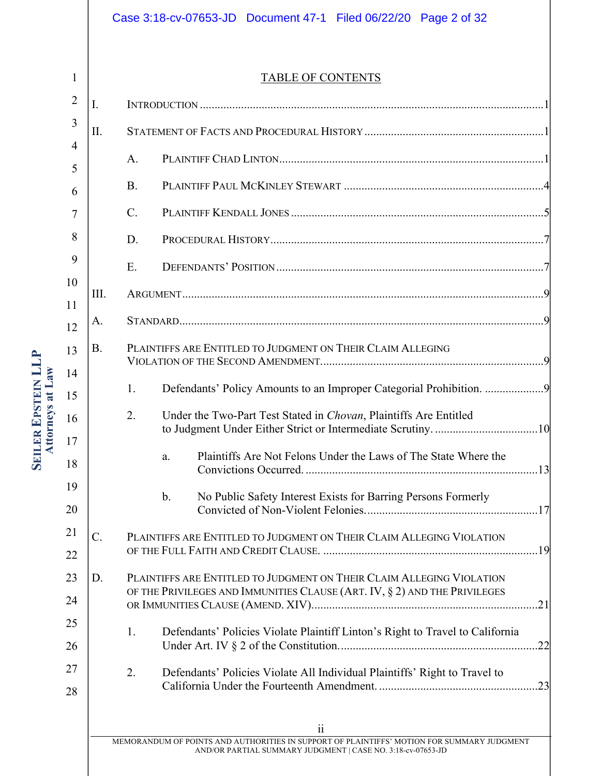# Case 3:18-cv-07653-JD Document 47-1 Filed 06/22/20 Page 2 of 32

|--|

| $\overline{2}$      | I.        |           |                                                                                                                                                                         |  |
|---------------------|-----------|-----------|-------------------------------------------------------------------------------------------------------------------------------------------------------------------------|--|
| 3                   | II.       |           |                                                                                                                                                                         |  |
| $\overline{4}$<br>5 |           | A.        |                                                                                                                                                                         |  |
| 6                   |           | <b>B.</b> |                                                                                                                                                                         |  |
| 7                   |           | C.        |                                                                                                                                                                         |  |
| 8                   |           | D.        |                                                                                                                                                                         |  |
| 9                   |           | E.        |                                                                                                                                                                         |  |
| 10                  | III.      |           |                                                                                                                                                                         |  |
| 11<br>12            | A.        |           |                                                                                                                                                                         |  |
| 13                  | <b>B.</b> |           | PLAINTIFFS ARE ENTITLED TO JUDGMENT ON THEIR CLAIM ALLEGING                                                                                                             |  |
| 14<br>15            |           | 1.        | Defendants' Policy Amounts to an Improper Categorial Prohibition.                                                                                                       |  |
| 16<br>17            |           | 2.        | Under the Two-Part Test Stated in Chovan, Plaintiffs Are Entitled                                                                                                       |  |
| 18                  |           |           | Plaintiffs Are Not Felons Under the Laws of The State Where the<br>a.                                                                                                   |  |
| 19<br>20            |           |           | $\mathbf{b}$ .<br>No Public Safety Interest Exists for Barring Persons Formerly                                                                                         |  |
| 21<br>22            | $C$ .     |           | PLAINTIFFS ARE ENTITLED TO JUDGMENT ON THEIR CLAIM ALLEGING VIOLATION                                                                                                   |  |
| 23                  | D.        |           | PLAINTIFFS ARE ENTITLED TO JUDGMENT ON THEIR CLAIM ALLEGING VIOLATION                                                                                                   |  |
| 24                  |           |           | OF THE PRIVILEGES AND IMMUNITIES CLAUSE (ART. IV, § 2) AND THE PRIVILEGES                                                                                               |  |
| 25                  |           | 1.        | Defendants' Policies Violate Plaintiff Linton's Right to Travel to California                                                                                           |  |
| 26                  |           |           | .22                                                                                                                                                                     |  |
| 27<br>28            |           | 2.        | Defendants' Policies Violate All Individual Plaintiffs' Right to Travel to                                                                                              |  |
|                     |           |           | $\ddot{i}$<br>MEMORANDUM OF POINTS AND AUTHORITIES IN SUPPORT OF PLAINTIFFS' MOTION FOR SUMMARY JUDGMENT<br>AND/OR PARTIAL SUMMARY JUDGMENT   CASE NO. 3:18-cv-07653-JD |  |

**SEILER EPSTEIN LLP Attorneys at Law**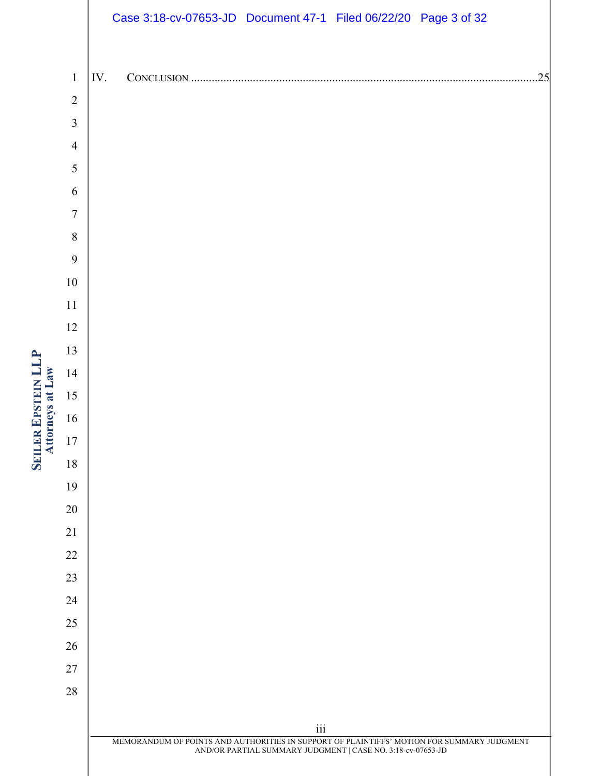|                  |                |     | Case 3:18-cv-07653-JD Document 47-1 Filed 06/22/20 Page 3 of 32                            |                                                             |  |     |
|------------------|----------------|-----|--------------------------------------------------------------------------------------------|-------------------------------------------------------------|--|-----|
|                  |                |     |                                                                                            |                                                             |  |     |
|                  | $\mathbf{1}$   | IV. |                                                                                            |                                                             |  | .25 |
|                  | $\sqrt{2}$     |     |                                                                                            |                                                             |  |     |
|                  | $\overline{3}$ |     |                                                                                            |                                                             |  |     |
|                  | $\overline{4}$ |     |                                                                                            |                                                             |  |     |
|                  | 5              |     |                                                                                            |                                                             |  |     |
|                  | $\sqrt{6}$     |     |                                                                                            |                                                             |  |     |
|                  | $\tau$         |     |                                                                                            |                                                             |  |     |
|                  | $\, 8$         |     |                                                                                            |                                                             |  |     |
|                  | $\mathbf{9}$   |     |                                                                                            |                                                             |  |     |
|                  | $10\,$         |     |                                                                                            |                                                             |  |     |
| Attorneys at Law | $11\,$         |     |                                                                                            |                                                             |  |     |
|                  | 12<br>13       |     |                                                                                            |                                                             |  |     |
|                  | 14             |     |                                                                                            |                                                             |  |     |
|                  | 15             |     |                                                                                            |                                                             |  |     |
|                  | 16             |     |                                                                                            |                                                             |  |     |
|                  | $17\,$         |     |                                                                                            |                                                             |  |     |
|                  | 18             |     |                                                                                            |                                                             |  |     |
|                  | 19             |     |                                                                                            |                                                             |  |     |
|                  | 20             |     |                                                                                            |                                                             |  |     |
|                  | 21             |     |                                                                                            |                                                             |  |     |
|                  | 22             |     |                                                                                            |                                                             |  |     |
|                  | 23             |     |                                                                                            |                                                             |  |     |
|                  | 24             |     |                                                                                            |                                                             |  |     |
|                  | 25             |     |                                                                                            |                                                             |  |     |
|                  | 26             |     |                                                                                            |                                                             |  |     |
|                  | 27             |     |                                                                                            |                                                             |  |     |
|                  | $28\,$         |     |                                                                                            |                                                             |  |     |
|                  |                |     |                                                                                            |                                                             |  |     |
|                  |                |     | MEMORANDUM OF POINTS AND AUTHORITIES IN SUPPORT OF PLAINTIFFS' MOTION FOR SUMMARY JUDGMENT | $\overline{\textbf{iii}}$                                   |  |     |
|                  |                |     |                                                                                            | AND/OR PARTIAL SUMMARY JUDGMENT   CASE NO. 3:18-cv-07653-JD |  |     |

**SEILER**

**EPSTEIN LLP**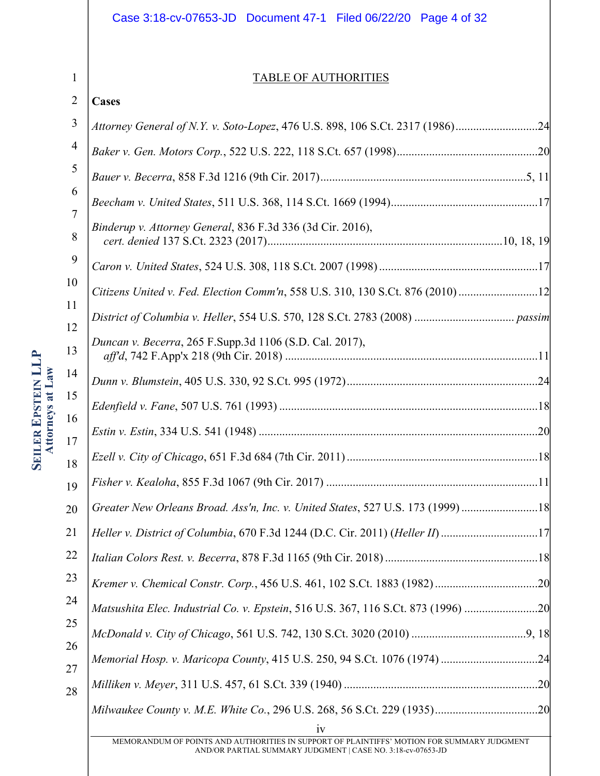# Case 3:18-cv-07653-JD Document 47-1 Filed 06/22/20 Page 4 of 32

1

**SEILER**

**Attorneys at**

**Law**

**EPSTEIN LLP**

### TABLE OF AUTHORITIES

| $\overline{2}$ | Cases                                                                             |
|----------------|-----------------------------------------------------------------------------------|
| 3              | Attorney General of N.Y. v. Soto-Lopez, 476 U.S. 898, 106 S.Ct. 2317 (1986)24     |
| $\overline{4}$ |                                                                                   |
| 5              |                                                                                   |
| 6              |                                                                                   |
| 7<br>8         | Binderup v. Attorney General, 836 F.3d 336 (3d Cir. 2016),                        |
| 9              |                                                                                   |
| 10             | Citizens United v. Fed. Election Comm'n, 558 U.S. 310, 130 S.Ct. 876 (2010)12     |
| 11<br>12       |                                                                                   |
| 13             | Duncan v. Becerra, 265 F.Supp.3d 1106 (S.D. Cal. 2017),                           |
| 14             |                                                                                   |
| 15             |                                                                                   |
| 16<br>17       |                                                                                   |
| 18             |                                                                                   |
| 19             |                                                                                   |
| 20             | Greater New Orleans Broad. Ass'n, Inc. v. United States, 527 U.S. 173 (1999)18    |
| 21             |                                                                                   |
| 22             |                                                                                   |
| 23             |                                                                                   |
| 24             | Matsushita Elec. Industrial Co. v. Epstein, 516 U.S. 367, 116 S.Ct. 873 (1996) 20 |
| 25             |                                                                                   |
| 26<br>27       |                                                                                   |
| 28             |                                                                                   |
|                | 1V                                                                                |

MEMORANDUM OF POINTS AND AUTHORITIES IN SUPPORT OF PLAINTIFFS' MOTION FOR SUMMARY JUDGMENT AND/OR PARTIAL SUMMARY JUDGMENT | CASE NO. 3:18-cv-07653-JD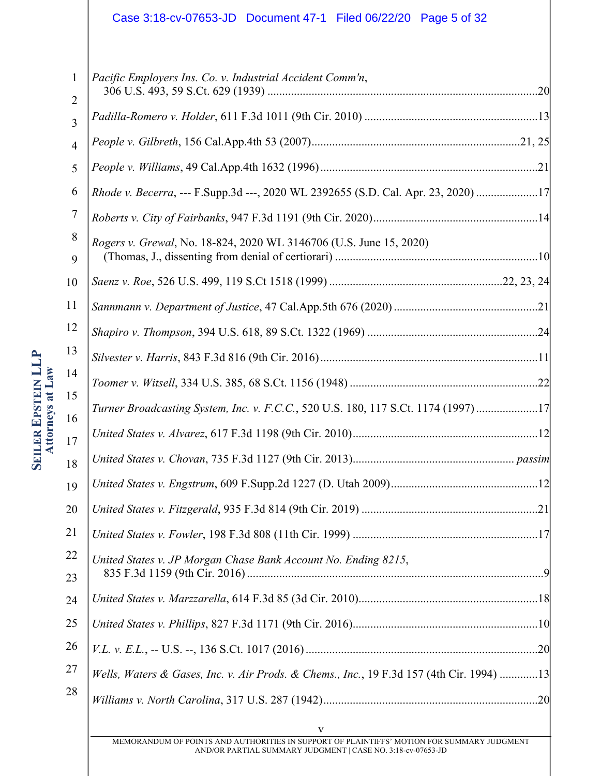# Case 3:18-cv-07653-JD Document 47-1 Filed 06/22/20 Page 5 of 32

| 1              | Pacific Employers Ins. Co. v. Industrial Accident Comm'n,                                |  |
|----------------|------------------------------------------------------------------------------------------|--|
| $\overline{2}$ |                                                                                          |  |
| 3              |                                                                                          |  |
| $\overline{4}$ |                                                                                          |  |
| 5              |                                                                                          |  |
| 6              | Rhode v. Becerra, --- F.Supp.3d ---, 2020 WL 2392655 (S.D. Cal. Apr. 23, 2020) 17        |  |
| 7              |                                                                                          |  |
| 8<br>9         | Rogers v. Grewal, No. 18-824, 2020 WL 3146706 (U.S. June 15, 2020)                       |  |
| 10             |                                                                                          |  |
| 11             |                                                                                          |  |
| 12             |                                                                                          |  |
| 13             |                                                                                          |  |
| 14             |                                                                                          |  |
| 15<br>16       | Turner Broadcasting System, Inc. v. F.C.C., 520 U.S. 180, 117 S.Ct. 1174 (1997)17        |  |
| 17             |                                                                                          |  |
| 18             |                                                                                          |  |
| 19             |                                                                                          |  |
| 20             |                                                                                          |  |
| 21             |                                                                                          |  |
| 22             | United States v. JP Morgan Chase Bank Account No. Ending 8215,                           |  |
| 23             |                                                                                          |  |
| 24             |                                                                                          |  |
| 25             |                                                                                          |  |
| 26             |                                                                                          |  |
| 27             | Wells, Waters & Gases, Inc. v. Air Prods. & Chems., Inc., 19 F.3d 157 (4th Cir. 1994) 13 |  |
| 28             |                                                                                          |  |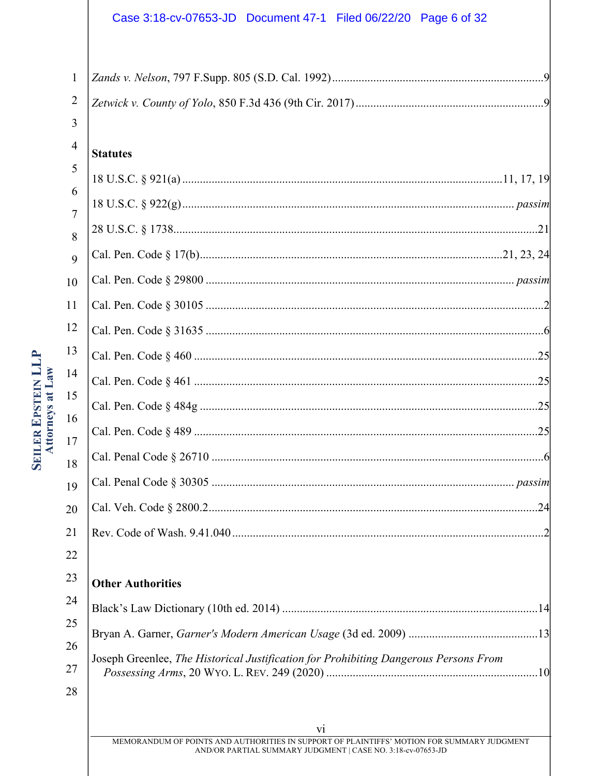# Case 3:18-cv-07653-JD Document 47-1 Filed 06/22/20 Page 6 of 32

| 1              |                                                                                      |
|----------------|--------------------------------------------------------------------------------------|
| 2              |                                                                                      |
| 3              |                                                                                      |
| $\overline{4}$ | <b>Statutes</b>                                                                      |
| 5              |                                                                                      |
| 6              |                                                                                      |
| 7<br>8         |                                                                                      |
| 9              |                                                                                      |
| 10             |                                                                                      |
| 11             |                                                                                      |
| 12             |                                                                                      |
| 13             |                                                                                      |
| 14             |                                                                                      |
| 15             |                                                                                      |
| 16             |                                                                                      |
| 17             |                                                                                      |
| 18             |                                                                                      |
| 19<br>20       |                                                                                      |
| 21             |                                                                                      |
| 22             |                                                                                      |
| 23             | <b>Other Authorities</b>                                                             |
| 24             |                                                                                      |
| 25             |                                                                                      |
| 26             |                                                                                      |
| 27             | Joseph Greenlee, The Historical Justification for Prohibiting Dangerous Persons From |
| 28             |                                                                                      |
|                |                                                                                      |

SEILER EPSTEIN LLP<br>Attorneys at Law

vi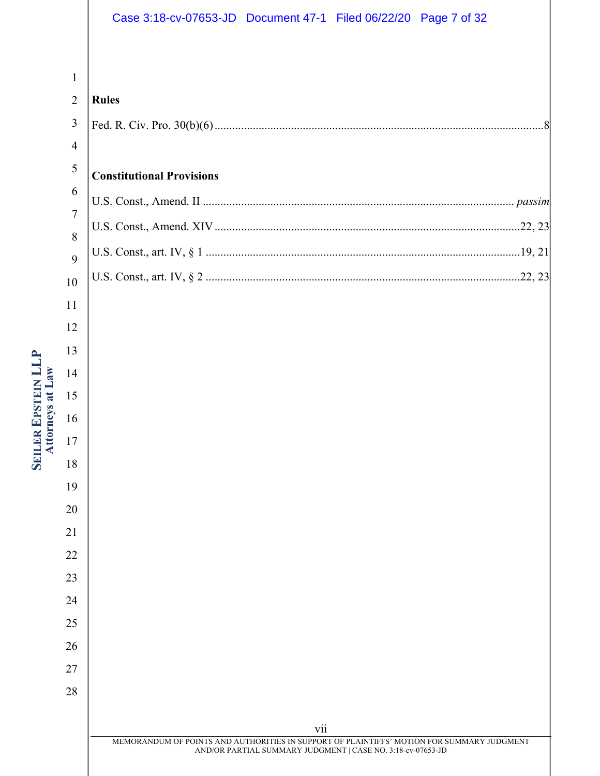# Case 3:18-cv-07653-JD Document 47-1 Filed 06/22/20 Page 7 of 32

# 

| <b>Rules</b>                     |
|----------------------------------|
|                                  |
|                                  |
| <b>Constitutional Provisions</b> |
|                                  |
|                                  |
|                                  |
|                                  |
|                                  |

# **SEILER EPSTEIN LLP Attorneys at Law**

# vii MEMORANDUM OF POINTS AND AUTHORITIES IN SUPPORT OF PLAINTIFFS' MOTION FOR SUMMARY JUDGMENT AND/OR PARTIAL SUMMARY JUDGMENT | CASE NO. 3:18-cv-07653-JD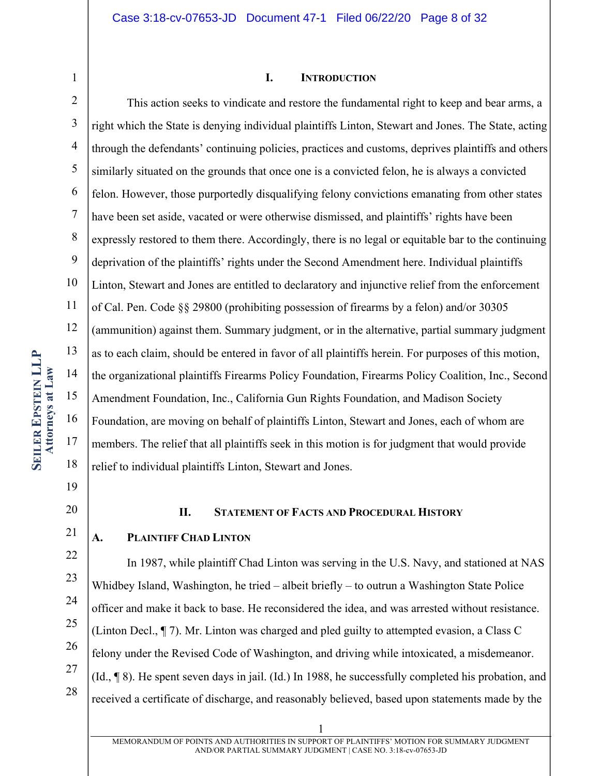1

#### **I. INTRODUCTION**

2 3 4 5 6 7 8 9 10 11 12 13 14 15 16 17 18 This action seeks to vindicate and restore the fundamental right to keep and bear arms, a right which the State is denying individual plaintiffs Linton, Stewart and Jones. The State, acting through the defendants' continuing policies, practices and customs, deprives plaintiffs and others similarly situated on the grounds that once one is a convicted felon, he is always a convicted felon. However, those purportedly disqualifying felony convictions emanating from other states have been set aside, vacated or were otherwise dismissed, and plaintiffs' rights have been expressly restored to them there. Accordingly, there is no legal or equitable bar to the continuing deprivation of the plaintiffs' rights under the Second Amendment here. Individual plaintiffs Linton, Stewart and Jones are entitled to declaratory and injunctive relief from the enforcement of Cal. Pen. Code §§ 29800 (prohibiting possession of firearms by a felon) and/or 30305 (ammunition) against them. Summary judgment, or in the alternative, partial summary judgment as to each claim, should be entered in favor of all plaintiffs herein. For purposes of this motion, the organizational plaintiffs Firearms Policy Foundation, Firearms Policy Coalition, Inc., Second Amendment Foundation, Inc., California Gun Rights Foundation, and Madison Society Foundation, are moving on behalf of plaintiffs Linton, Stewart and Jones, each of whom are members. The relief that all plaintiffs seek in this motion is for judgment that would provide relief to individual plaintiffs Linton, Stewart and Jones.

- 19
- 20 21

22

23

24

25

26

27

28

#### **II. STATEMENT OF FACTS AND PROCEDURAL HISTORY**

#### **A. PLAINTIFF CHAD LINTON**

In 1987, while plaintiff Chad Linton was serving in the U.S. Navy, and stationed at NAS Whidbey Island, Washington, he tried – albeit briefly – to outrun a Washington State Police officer and make it back to base. He reconsidered the idea, and was arrested without resistance. (Linton Decl., ¶ 7). Mr. Linton was charged and pled guilty to attempted evasion, a Class C felony under the Revised Code of Washington, and driving while intoxicated, a misdemeanor. (Id., ¶ 8). He spent seven days in jail. (Id.) In 1988, he successfully completed his probation, and received a certificate of discharge, and reasonably believed, based upon statements made by the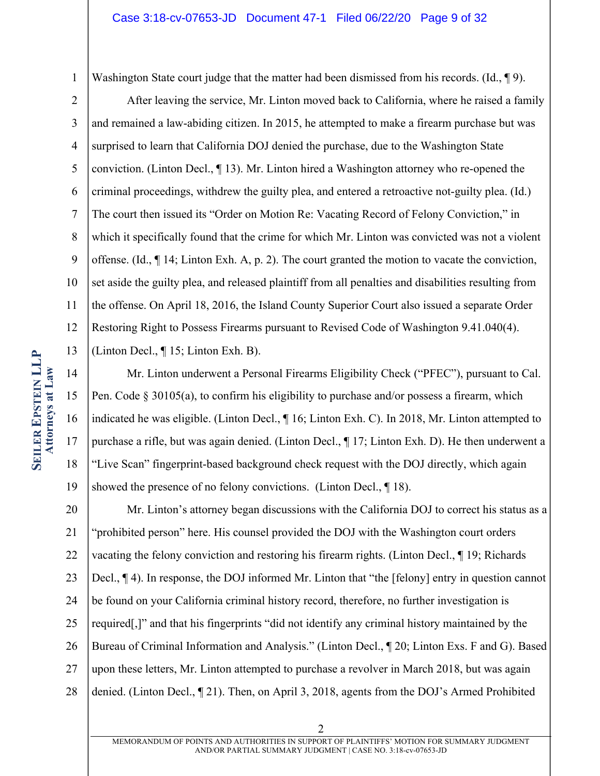Washington State court judge that the matter had been dismissed from his records. (Id., ¶9).

2 3 4 5 6 7 8 9 10 11 12 13 After leaving the service, Mr. Linton moved back to California, where he raised a family and remained a law-abiding citizen. In 2015, he attempted to make a firearm purchase but was surprised to learn that California DOJ denied the purchase, due to the Washington State conviction. (Linton Decl., ¶ 13). Mr. Linton hired a Washington attorney who re-opened the criminal proceedings, withdrew the guilty plea, and entered a retroactive not-guilty plea. (Id.) The court then issued its "Order on Motion Re: Vacating Record of Felony Conviction," in which it specifically found that the crime for which Mr. Linton was convicted was not a violent offense. (Id., ¶ 14; Linton Exh. A, p. 2). The court granted the motion to vacate the conviction, set aside the guilty plea, and released plaintiff from all penalties and disabilities resulting from the offense. On April 18, 2016, the Island County Superior Court also issued a separate Order Restoring Right to Possess Firearms pursuant to Revised Code of Washington 9.41.040(4). (Linton Decl., ¶ 15; Linton Exh. B).

14 15 16 17 18 19 Mr. Linton underwent a Personal Firearms Eligibility Check ("PFEC"), pursuant to Cal. Pen. Code § 30105(a), to confirm his eligibility to purchase and/or possess a firearm, which indicated he was eligible. (Linton Decl., ¶ 16; Linton Exh. C). In 2018, Mr. Linton attempted to purchase a rifle, but was again denied. (Linton Decl., ¶ 17; Linton Exh. D). He then underwent a "Live Scan" fingerprint-based background check request with the DOJ directly, which again showed the presence of no felony convictions. (Linton Decl., 18).

20 21 22 23 24 25 26 27 28 Mr. Linton's attorney began discussions with the California DOJ to correct his status as a "prohibited person" here. His counsel provided the DOJ with the Washington court orders vacating the felony conviction and restoring his firearm rights. (Linton Decl., ¶ 19; Richards Decl., ¶ 4). In response, the DOJ informed Mr. Linton that "the [felony] entry in question cannot be found on your California criminal history record, therefore, no further investigation is required[,]" and that his fingerprints "did not identify any criminal history maintained by the Bureau of Criminal Information and Analysis." (Linton Decl., ¶ 20; Linton Exs. F and G). Based upon these letters, Mr. Linton attempted to purchase a revolver in March 2018, but was again denied. (Linton Decl., ¶ 21). Then, on April 3, 2018, agents from the DOJ's Armed Prohibited

1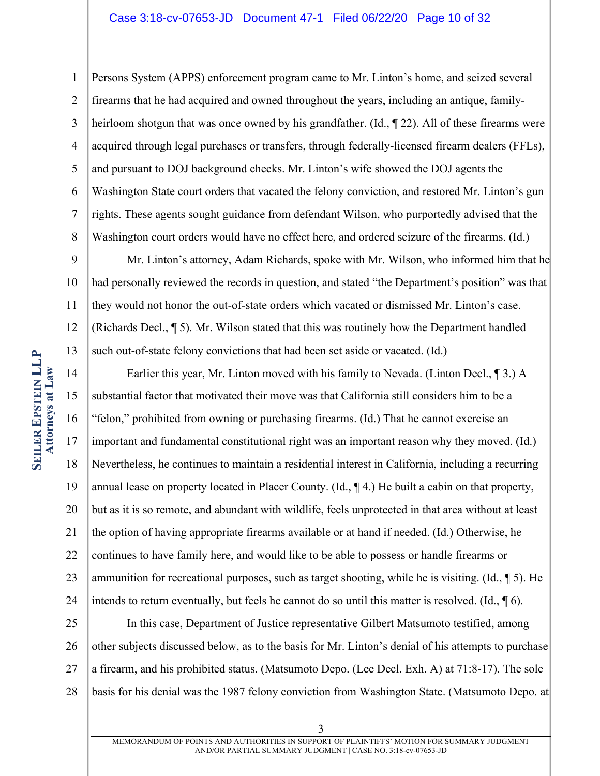1 2 3 4 5 6 7 8 Persons System (APPS) enforcement program came to Mr. Linton's home, and seized several firearms that he had acquired and owned throughout the years, including an antique, familyheirloom shotgun that was once owned by his grandfather. (Id., ¶ 22). All of these firearms were acquired through legal purchases or transfers, through federally-licensed firearm dealers (FFLs), and pursuant to DOJ background checks. Mr. Linton's wife showed the DOJ agents the Washington State court orders that vacated the felony conviction, and restored Mr. Linton's gun rights. These agents sought guidance from defendant Wilson, who purportedly advised that the Washington court orders would have no effect here, and ordered seizure of the firearms. (Id.)

9 10 11 12 13 Mr. Linton's attorney, Adam Richards, spoke with Mr. Wilson, who informed him that he had personally reviewed the records in question, and stated "the Department's position" was that they would not honor the out-of-state orders which vacated or dismissed Mr. Linton's case. (Richards Decl., ¶ 5). Mr. Wilson stated that this was routinely how the Department handled such out-of-state felony convictions that had been set aside or vacated. (Id.)

14 15 16 17 18 19 20 21 22 23 24 Earlier this year, Mr. Linton moved with his family to Nevada. (Linton Decl., ¶ 3.) A substantial factor that motivated their move was that California still considers him to be a "felon," prohibited from owning or purchasing firearms. (Id.) That he cannot exercise an important and fundamental constitutional right was an important reason why they moved. (Id.) Nevertheless, he continues to maintain a residential interest in California, including a recurring annual lease on property located in Placer County. (Id., ¶ 4.) He built a cabin on that property, but as it is so remote, and abundant with wildlife, feels unprotected in that area without at least the option of having appropriate firearms available or at hand if needed. (Id.) Otherwise, he continues to have family here, and would like to be able to possess or handle firearms or ammunition for recreational purposes, such as target shooting, while he is visiting. (Id., ¶ 5). He intends to return eventually, but feels he cannot do so until this matter is resolved. (Id.,  $\P$  6).

25 26 27 28 In this case, Department of Justice representative Gilbert Matsumoto testified, among other subjects discussed below, as to the basis for Mr. Linton's denial of his attempts to purchase a firearm, and his prohibited status. (Matsumoto Depo. (Lee Decl. Exh. A) at 71:8-17). The sole basis for his denial was the 1987 felony conviction from Washington State. (Matsumoto Depo. at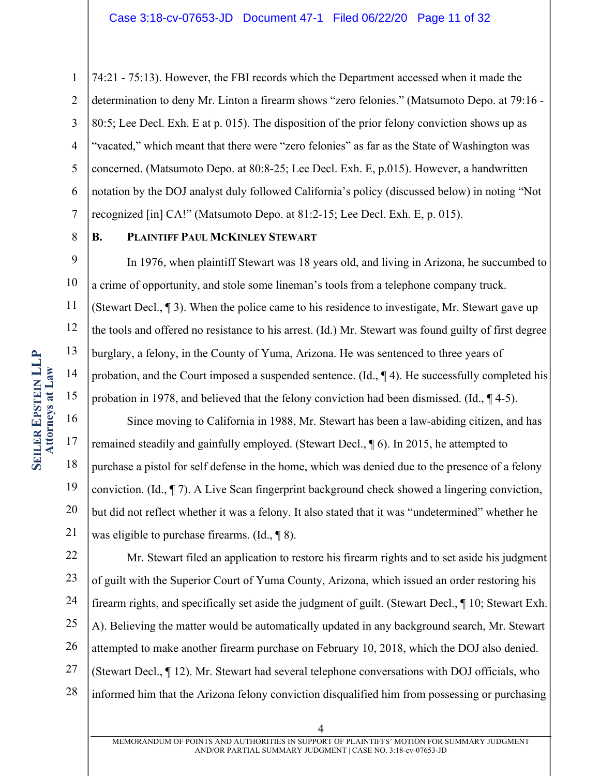1 2 3 4 5 6 7 74:21 - 75:13). However, the FBI records which the Department accessed when it made the determination to deny Mr. Linton a firearm shows "zero felonies." (Matsumoto Depo. at 79:16 - 80:5; Lee Decl. Exh. E at p. 015). The disposition of the prior felony conviction shows up as "vacated," which meant that there were "zero felonies" as far as the State of Washington was concerned. (Matsumoto Depo. at 80:8-25; Lee Decl. Exh. E, p.015). However, a handwritten notation by the DOJ analyst duly followed California's policy (discussed below) in noting "Not recognized [in] CA!" (Matsumoto Depo. at 81:2-15; Lee Decl. Exh. E, p. 015).

8

# **B. PLAINTIFF PAUL MCKINLEY STEWART**

9 10 11 12 13 14 15 In 1976, when plaintiff Stewart was 18 years old, and living in Arizona, he succumbed to a crime of opportunity, and stole some lineman's tools from a telephone company truck. (Stewart Decl., ¶ 3). When the police came to his residence to investigate, Mr. Stewart gave up the tools and offered no resistance to his arrest. (Id.) Mr. Stewart was found guilty of first degree burglary, a felony, in the County of Yuma, Arizona. He was sentenced to three years of probation, and the Court imposed a suspended sentence. (Id., ¶ 4). He successfully completed his probation in 1978, and believed that the felony conviction had been dismissed. (Id., ¶ 4-5).

16 17 18 19 20 21 Since moving to California in 1988, Mr. Stewart has been a law-abiding citizen, and has remained steadily and gainfully employed. (Stewart Decl., ¶ 6). In 2015, he attempted to purchase a pistol for self defense in the home, which was denied due to the presence of a felony conviction. (Id., ¶ 7). A Live Scan fingerprint background check showed a lingering conviction, but did not reflect whether it was a felony. It also stated that it was "undetermined" whether he was eligible to purchase firearms. (Id., ¶ 8).

22 23 24 25 26 27 28 Mr. Stewart filed an application to restore his firearm rights and to set aside his judgment of guilt with the Superior Court of Yuma County, Arizona, which issued an order restoring his firearm rights, and specifically set aside the judgment of guilt. (Stewart Decl., ¶ 10; Stewart Exh. A). Believing the matter would be automatically updated in any background search, Mr. Stewart attempted to make another firearm purchase on February 10, 2018, which the DOJ also denied. (Stewart Decl., ¶ 12). Mr. Stewart had several telephone conversations with DOJ officials, who informed him that the Arizona felony conviction disqualified him from possessing or purchasing

MEMORANDUM OF POINTS AND AUTHORITIES IN SUPPORT OF PLAINTIFFS' MOTION FOR SUMMARY JUDGMENT AND/OR PARTIAL SUMMARY JUDGMENT | CASE NO. 3:18-cv-07653-JD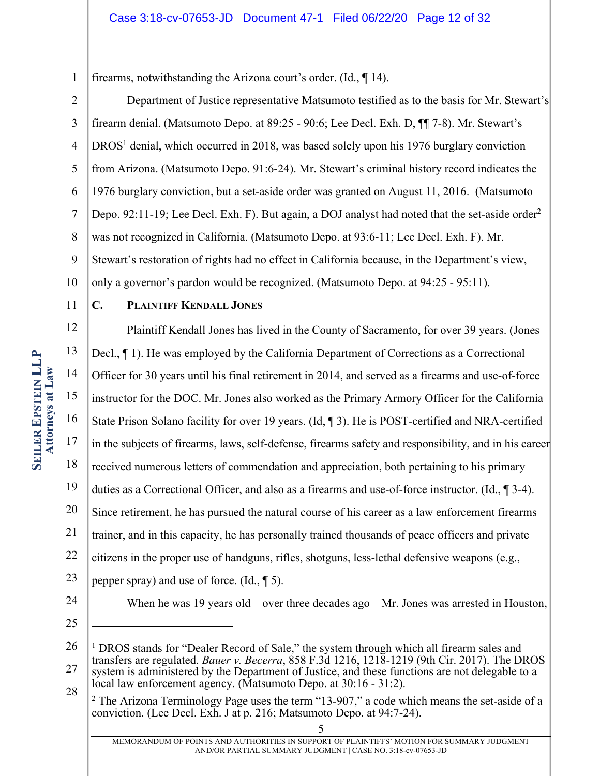1 firearms, notwithstanding the Arizona court's order. (Id., ¶ 14).

- 2 3 4 5 6 7 8 9 10 Department of Justice representative Matsumoto testified as to the basis for Mr. Stewart's firearm denial. (Matsumoto Depo. at 89:25 - 90:6; Lee Decl. Exh. D, ¶¶ 7-8). Mr. Stewart's  $DROS<sup>1</sup>$  denial, which occurred in 2018, was based solely upon his 1976 burglary conviction from Arizona. (Matsumoto Depo. 91:6-24). Mr. Stewart's criminal history record indicates the 1976 burglary conviction, but a set-aside order was granted on August 11, 2016. (Matsumoto Depo. 92:11-19; Lee Decl. Exh. F). But again, a DOJ analyst had noted that the set-aside order<sup>2</sup> was not recognized in California. (Matsumoto Depo. at 93:6-11; Lee Decl. Exh. F). Mr. Stewart's restoration of rights had no effect in California because, in the Department's view, only a governor's pardon would be recognized. (Matsumoto Depo. at 94:25 - 95:11).
- 11

# **C. PLAINTIFF KENDALL JONES**

12 13 14 15 16 17 18 19 20 21 22 23 Plaintiff Kendall Jones has lived in the County of Sacramento, for over 39 years. (Jones Decl., ¶ 1). He was employed by the California Department of Corrections as a Correctional Officer for 30 years until his final retirement in 2014, and served as a firearms and use-of-force instructor for the DOC. Mr. Jones also worked as the Primary Armory Officer for the California State Prison Solano facility for over 19 years. (Id, ¶ 3). He is POST-certified and NRA-certified in the subjects of firearms, laws, self-defense, firearms safety and responsibility, and in his career received numerous letters of commendation and appreciation, both pertaining to his primary duties as a Correctional Officer, and also as a firearms and use-of-force instructor. (Id., ¶ 3-4). Since retirement, he has pursued the natural course of his career as a law enforcement firearms trainer, and in this capacity, he has personally trained thousands of peace officers and private citizens in the proper use of handguns, rifles, shotguns, less-lethal defensive weapons (e.g., pepper spray) and use of force. (Id., ¶ 5).

24

25

When he was 19 years old – over three decades ago – Mr. Jones was arrested in Houston,

<sup>26</sup> 27 <sup>1</sup> DROS stands for "Dealer Record of Sale," the system through which all firearm sales and transfers are regulated. *Bauer v. Becerra*, 858 F.3d 1216, 1218-1219 (9th Cir. 2017). The DROS system is administered by the Department of Justice, and these functions are not delegable to a

<sup>28</sup> local law enforcement agency. (Matsumoto Depo. at 30:16 - 31:2).

 $2$  The Arizona Terminology Page uses the term "13-907," a code which means the set-aside of a conviction. (Lee Decl. Exh. J at p. 216; Matsumoto Depo. at 94:7-24).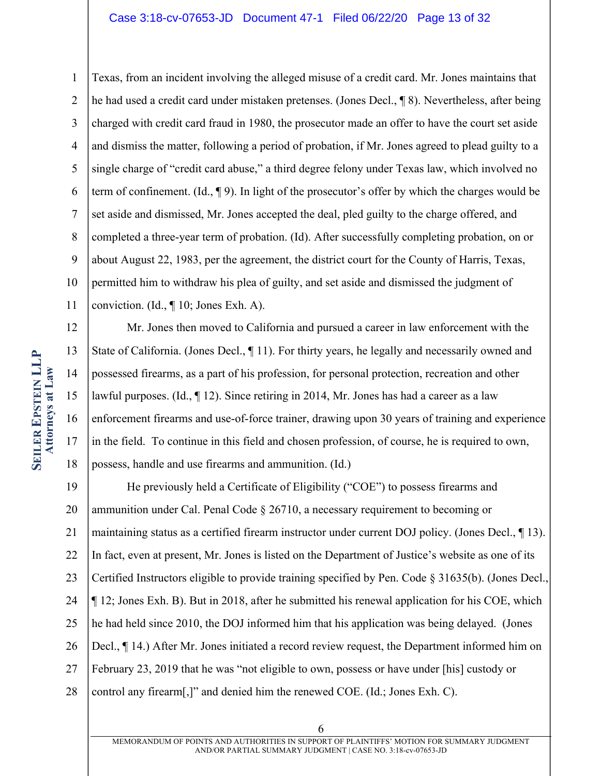#### Case 3:18-cv-07653-JD Document 47-1 Filed 06/22/20 Page 13 of 32

1 2 3 4 5 6 7 8 9 10 11 Texas, from an incident involving the alleged misuse of a credit card. Mr. Jones maintains that he had used a credit card under mistaken pretenses. (Jones Decl., ¶ 8). Nevertheless, after being charged with credit card fraud in 1980, the prosecutor made an offer to have the court set aside and dismiss the matter, following a period of probation, if Mr. Jones agreed to plead guilty to a single charge of "credit card abuse," a third degree felony under Texas law, which involved no term of confinement. (Id., ¶ 9). In light of the prosecutor's offer by which the charges would be set aside and dismissed, Mr. Jones accepted the deal, pled guilty to the charge offered, and completed a three-year term of probation. (Id). After successfully completing probation, on or about August 22, 1983, per the agreement, the district court for the County of Harris, Texas, permitted him to withdraw his plea of guilty, and set aside and dismissed the judgment of conviction. (Id., ¶ 10; Jones Exh. A).

12 13 14 15 16 17 18 Mr. Jones then moved to California and pursued a career in law enforcement with the State of California. (Jones Decl., 11). For thirty years, he legally and necessarily owned and possessed firearms, as a part of his profession, for personal protection, recreation and other lawful purposes. (Id., ¶ 12). Since retiring in 2014, Mr. Jones has had a career as a law enforcement firearms and use-of-force trainer, drawing upon 30 years of training and experience in the field. To continue in this field and chosen profession, of course, he is required to own, possess, handle and use firearms and ammunition. (Id.)

19 20 21 22 23 24 25 26 27 28 He previously held a Certificate of Eligibility ("COE") to possess firearms and ammunition under Cal. Penal Code § 26710, a necessary requirement to becoming or maintaining status as a certified firearm instructor under current DOJ policy. (Jones Decl., ¶ 13). In fact, even at present, Mr. Jones is listed on the Department of Justice's website as one of its Certified Instructors eligible to provide training specified by Pen. Code § 31635(b). (Jones Decl., ¶ 12; Jones Exh. B). But in 2018, after he submitted his renewal application for his COE, which he had held since 2010, the DOJ informed him that his application was being delayed. (Jones Decl., ¶ 14.) After Mr. Jones initiated a record review request, the Department informed him on February 23, 2019 that he was "not eligible to own, possess or have under [his] custody or control any firearm[,]" and denied him the renewed COE. (Id.; Jones Exh. C).

MEMORANDUM OF POINTS AND AUTHORITIES IN SUPPORT OF PLAINTIFFS' MOTION FOR SUMMARY JUDGMENT AND/OR PARTIAL SUMMARY JUDGMENT | CASE NO. 3:18-cv-07653-JD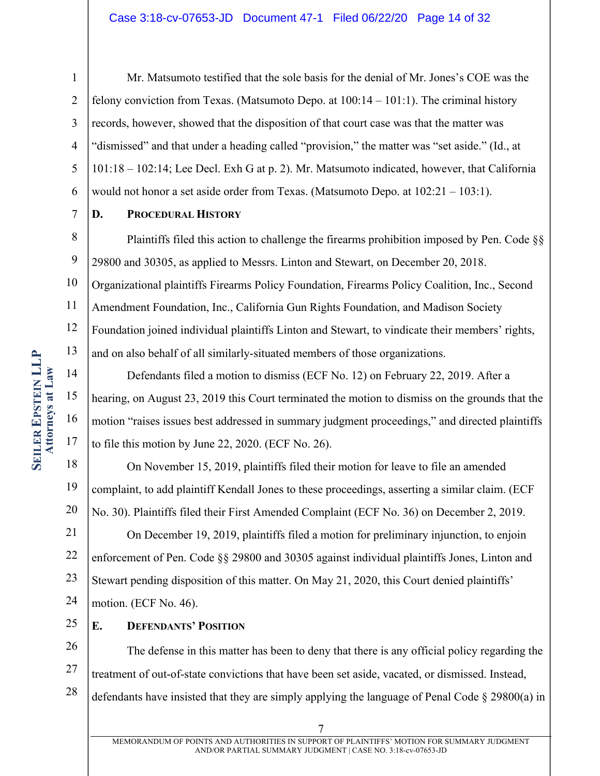#### Case 3:18-cv-07653-JD Document 47-1 Filed 06/22/20 Page 14 of 32

1 2 3 4 5 6 Mr. Matsumoto testified that the sole basis for the denial of Mr. Jones's COE was the felony conviction from Texas. (Matsumoto Depo. at  $100:14 - 101:1$ ). The criminal history records, however, showed that the disposition of that court case was that the matter was "dismissed" and that under a heading called "provision," the matter was "set aside." (Id., at 101:18 – 102:14; Lee Decl. Exh G at p. 2). Mr. Matsumoto indicated, however, that California would not honor a set aside order from Texas. (Matsumoto Depo. at 102:21 – 103:1).

7

#### **D. PROCEDURAL HISTORY**

8 9 10 11 12 13 Plaintiffs filed this action to challenge the firearms prohibition imposed by Pen. Code §§ 29800 and 30305, as applied to Messrs. Linton and Stewart, on December 20, 2018. Organizational plaintiffs Firearms Policy Foundation, Firearms Policy Coalition, Inc., Second Amendment Foundation, Inc., California Gun Rights Foundation, and Madison Society Foundation joined individual plaintiffs Linton and Stewart, to vindicate their members' rights, and on also behalf of all similarly-situated members of those organizations.

14 15 16 17 Defendants filed a motion to dismiss (ECF No. 12) on February 22, 2019. After a hearing, on August 23, 2019 this Court terminated the motion to dismiss on the grounds that the motion "raises issues best addressed in summary judgment proceedings," and directed plaintiffs to file this motion by June 22, 2020. (ECF No. 26).

18 19 20 On November 15, 2019, plaintiffs filed their motion for leave to file an amended complaint, to add plaintiff Kendall Jones to these proceedings, asserting a similar claim. (ECF No. 30). Plaintiffs filed their First Amended Complaint (ECF No. 36) on December 2, 2019.

21 22 23 24 On December 19, 2019, plaintiffs filed a motion for preliminary injunction, to enjoin enforcement of Pen. Code §§ 29800 and 30305 against individual plaintiffs Jones, Linton and Stewart pending disposition of this matter. On May 21, 2020, this Court denied plaintiffs' motion. (ECF No. 46).

25 **E. DEFENDANTS' POSITION**

26 27 28 The defense in this matter has been to deny that there is any official policy regarding the treatment of out-of-state convictions that have been set aside, vacated, or dismissed. Instead, defendants have insisted that they are simply applying the language of Penal Code § 29800(a) in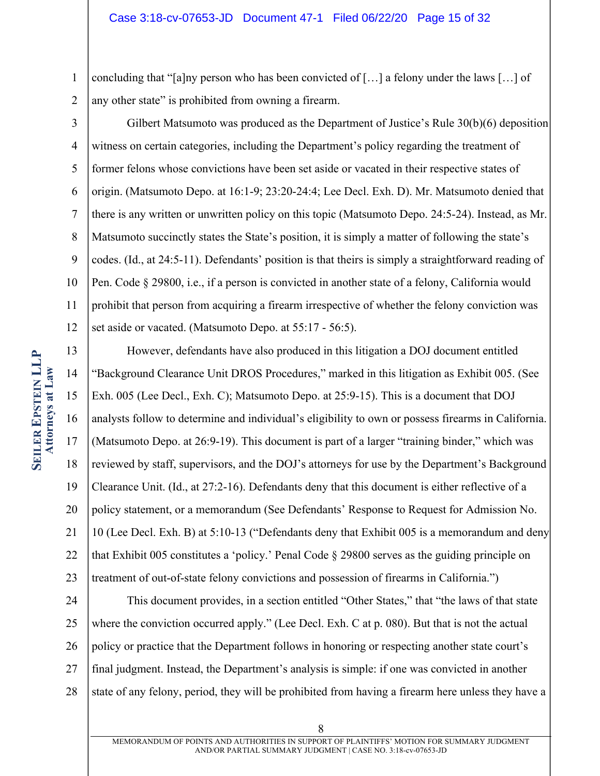1 2 concluding that "[a]ny person who has been convicted of […] a felony under the laws […] of any other state" is prohibited from owning a firearm.

3 4 5 6 7 8 9 10 11 12 Gilbert Matsumoto was produced as the Department of Justice's Rule 30(b)(6) deposition witness on certain categories, including the Department's policy regarding the treatment of former felons whose convictions have been set aside or vacated in their respective states of origin. (Matsumoto Depo. at 16:1-9; 23:20-24:4; Lee Decl. Exh. D). Mr. Matsumoto denied that there is any written or unwritten policy on this topic (Matsumoto Depo. 24:5-24). Instead, as Mr. Matsumoto succinctly states the State's position, it is simply a matter of following the state's codes. (Id., at 24:5-11). Defendants' position is that theirs is simply a straightforward reading of Pen. Code § 29800, i.e., if a person is convicted in another state of a felony, California would prohibit that person from acquiring a firearm irrespective of whether the felony conviction was set aside or vacated. (Matsumoto Depo. at 55:17 - 56:5).

13 14 15 16 17 18 19 20 21 22 23 However, defendants have also produced in this litigation a DOJ document entitled "Background Clearance Unit DROS Procedures," marked in this litigation as Exhibit 005. (See Exh. 005 (Lee Decl., Exh. C); Matsumoto Depo. at 25:9-15). This is a document that DOJ analysts follow to determine and individual's eligibility to own or possess firearms in California. (Matsumoto Depo. at 26:9-19). This document is part of a larger "training binder," which was reviewed by staff, supervisors, and the DOJ's attorneys for use by the Department's Background Clearance Unit. (Id., at 27:2-16). Defendants deny that this document is either reflective of a policy statement, or a memorandum (See Defendants' Response to Request for Admission No. 10 (Lee Decl. Exh. B) at 5:10-13 ("Defendants deny that Exhibit 005 is a memorandum and deny that Exhibit 005 constitutes a 'policy.' Penal Code § 29800 serves as the guiding principle on treatment of out-of-state felony convictions and possession of firearms in California.")

24 25 26 27 28 This document provides, in a section entitled "Other States," that "the laws of that state where the conviction occurred apply." (Lee Decl. Exh. C at p. 080). But that is not the actual policy or practice that the Department follows in honoring or respecting another state court's final judgment. Instead, the Department's analysis is simple: if one was convicted in another state of any felony, period, they will be prohibited from having a firearm here unless they have a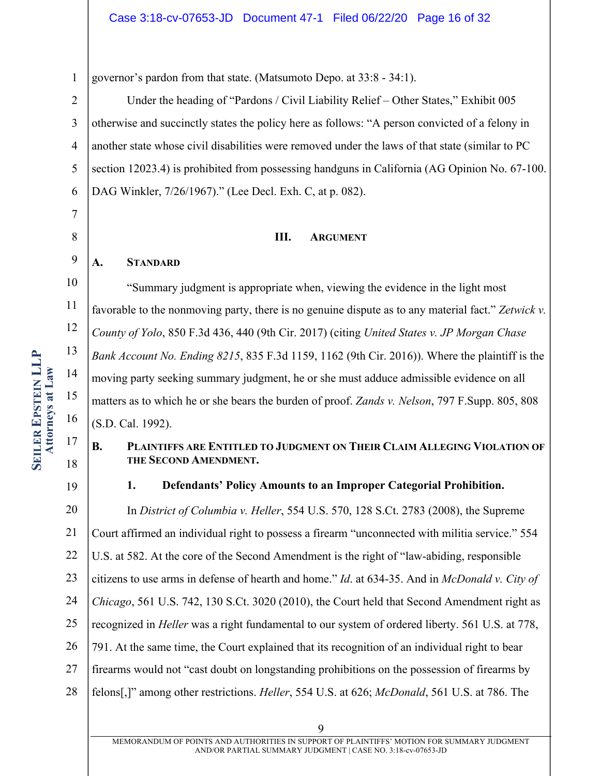1

7

8

9

11

14

15

17

governor's pardon from that state. (Matsumoto Depo. at 33:8 - 34:1).

2 3 4 5 6 Under the heading of "Pardons / Civil Liability Relief – Other States," Exhibit 005 otherwise and succinctly states the policy here as follows: "A person convicted of a felony in another state whose civil disabilities were removed under the laws of that state (similar to PC section 12023.4) is prohibited from possessing handguns in California (AG Opinion No. 67-100. DAG Winkler, 7/26/1967)." (Lee Decl. Exh. C, at p. 082).

### **III. ARGUMENT**

# **A. STANDARD**

10 12 13 16 "Summary judgment is appropriate when, viewing the evidence in the light most favorable to the nonmoving party, there is no genuine dispute as to any material fact." *Zetwick v. County of Yolo*, 850 F.3d 436, 440 (9th Cir. 2017) (citing *United States v. JP Morgan Chase Bank Account No. Ending 8215*, 835 F.3d 1159, 1162 (9th Cir. 2016)). Where the plaintiff is the moving party seeking summary judgment, he or she must adduce admissible evidence on all matters as to which he or she bears the burden of proof. *Zands v. Nelson*, 797 F.Supp. 805, 808 (S.D. Cal. 1992).

# **B. PLAINTIFFS ARE ENTITLED TO JUDGMENT ON THEIR CLAIM ALLEGING VIOLATION OF THE SECOND AMENDMENT.**

18 19

# **1. Defendants' Policy Amounts to an Improper Categorial Prohibition.**

20 21 22 23 24 25 26 27 28 In *District of Columbia v. Heller*, 554 U.S. 570, 128 S.Ct. 2783 (2008), the Supreme Court affirmed an individual right to possess a firearm "unconnected with militia service." 554 U.S. at 582. At the core of the Second Amendment is the right of "law-abiding, responsible citizens to use arms in defense of hearth and home." *Id*. at 634-35. And in *McDonald v. City of Chicago*, 561 U.S. 742, 130 S.Ct. 3020 (2010), the Court held that Second Amendment right as recognized in *Heller* was a right fundamental to our system of ordered liberty. 561 U.S. at 778, 791. At the same time, the Court explained that its recognition of an individual right to bear firearms would not "cast doubt on longstanding prohibitions on the possession of firearms by felons[,]" among other restrictions. *Heller*, 554 U.S. at 626; *McDonald*, 561 U.S. at 786. The

**SEILER EPSTEIN LLP EPSTEIN LLP Attorneys at Attorneys at Law**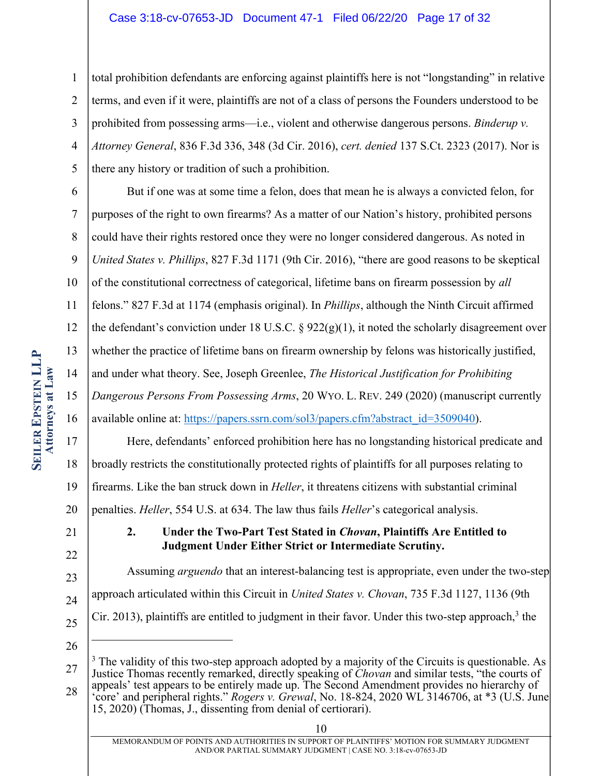#### Case 3:18-cv-07653-JD Document 47-1 Filed 06/22/20 Page 17 of 32

1 2 3 4 5 total prohibition defendants are enforcing against plaintiffs here is not "longstanding" in relative terms, and even if it were, plaintiffs are not of a class of persons the Founders understood to be prohibited from possessing arms—i.e., violent and otherwise dangerous persons. *Binderup v. Attorney General*, 836 F.3d 336, 348 (3d Cir. 2016), *cert. denied* 137 S.Ct. 2323 (2017). Nor is there any history or tradition of such a prohibition.

6 7 8 But if one was at some time a felon, does that mean he is always a convicted felon, for purposes of the right to own firearms? As a matter of our Nation's history, prohibited persons could have their rights restored once they were no longer considered dangerous. As noted in

9 *United States v. Phillips*, 827 F.3d 1171 (9th Cir. 2016), "there are good reasons to be skeptical

10 of the constitutional correctness of categorical, lifetime bans on firearm possession by *all*

11 felons." 827 F.3d at 1174 (emphasis original). In *Phillips*, although the Ninth Circuit affirmed

12 the defendant's conviction under 18 U.S.C.  $\S 922(g)(1)$ , it noted the scholarly disagreement over

13 whether the practice of lifetime bans on firearm ownership by felons was historically justified,

14 and under what theory. See, Joseph Greenlee, *The Historical Justification for Prohibiting*

15 *Dangerous Persons From Possessing Arms*, 20 WYO. L. REV. 249 (2020) (manuscript currently

16 available online at: https://papers.ssrn.com/sol3/papers.cfm?abstract\_id=3509040).

17 18 19 20 Here, defendants' enforced prohibition here has no longstanding historical predicate and broadly restricts the constitutionally protected rights of plaintiffs for all purposes relating to firearms. Like the ban struck down in *Heller*, it threatens citizens with substantial criminal penalties. *Heller*, 554 U.S. at 634. The law thus fails *Heller*'s categorical analysis.

21 22

# **2. Under the Two-Part Test Stated in** *Chovan***, Plaintiffs Are Entitled to Judgment Under Either Strict or Intermediate Scrutiny.**

23 24 25 Assuming *arguendo* that an interest-balancing test is appropriate, even under the two-step approach articulated within this Circuit in *United States v. Chovan*, 735 F.3d 1127, 1136 (9th  $C$ ir. 2013), plaintiffs are entitled to judgment in their favor. Under this two-step approach,<sup>3</sup> the

26

27 28 <sup>3</sup> The validity of this two-step approach adopted by a majority of the Circuits is questionable. As Justice Thomas recently remarked, directly speaking of *Chovan* and similar tests, "the courts of appeals' test appears to be entirely made up. The Second Amendment provides no hierarchy of 'core' and peripheral rights." *Rogers v. Grewal*, No. 18-824, 2020 WL 3146706, at \*3 (U.S. June

<sup>15, 2020)</sup> (Thomas, J., dissenting from denial of certiorari).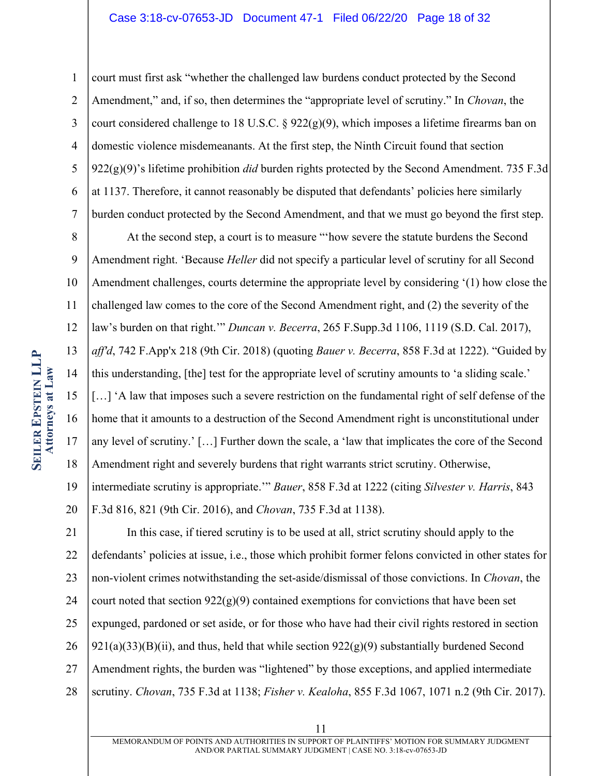#### Case 3:18-cv-07653-JD Document 47-1 Filed 06/22/20 Page 18 of 32

1 2 3 4 5 6 7 court must first ask "whether the challenged law burdens conduct protected by the Second Amendment," and, if so, then determines the "appropriate level of scrutiny." In *Chovan*, the court considered challenge to 18 U.S.C. §  $922(g)(9)$ , which imposes a lifetime firearms ban on domestic violence misdemeanants. At the first step, the Ninth Circuit found that section  $922(g)(9)'$ 's lifetime prohibition *did* burden rights protected by the Second Amendment. 735 F.3d at 1137. Therefore, it cannot reasonably be disputed that defendants' policies here similarly burden conduct protected by the Second Amendment, and that we must go beyond the first step.

8 9 10 11 12 13 14 15 16 17 18 19 At the second step, a court is to measure "'how severe the statute burdens the Second Amendment right. 'Because *Heller* did not specify a particular level of scrutiny for all Second Amendment challenges, courts determine the appropriate level by considering '(1) how close the challenged law comes to the core of the Second Amendment right, and (2) the severity of the law's burden on that right.'" *Duncan v. Becerra*, 265 F.Supp.3d 1106, 1119 (S.D. Cal. 2017), *aff'd*, 742 F.App'x 218 (9th Cir. 2018) (quoting *Bauer v. Becerra*, 858 F.3d at 1222). "Guided by this understanding, [the] test for the appropriate level of scrutiny amounts to 'a sliding scale.' [...] 'A law that imposes such a severe restriction on the fundamental right of self defense of the home that it amounts to a destruction of the Second Amendment right is unconstitutional under any level of scrutiny.' […] Further down the scale, a 'law that implicates the core of the Second Amendment right and severely burdens that right warrants strict scrutiny. Otherwise, intermediate scrutiny is appropriate.'" *Bauer*, 858 F.3d at 1222 (citing *Silvester v. Harris*, 843

20 F.3d 816, 821 (9th Cir. 2016), and *Chovan*, 735 F.3d at 1138).

21 22 23 24 25 26 27 28 In this case, if tiered scrutiny is to be used at all, strict scrutiny should apply to the defendants' policies at issue, i.e., those which prohibit former felons convicted in other states for non-violent crimes notwithstanding the set-aside/dismissal of those convictions. In *Chovan*, the court noted that section  $922(g)(9)$  contained exemptions for convictions that have been set expunged, pardoned or set aside, or for those who have had their civil rights restored in section  $921(a)(33)(B)(ii)$ , and thus, held that while section  $922(g)(9)$  substantially burdened Second Amendment rights, the burden was "lightened" by those exceptions, and applied intermediate scrutiny. *Chovan*, 735 F.3d at 1138; *Fisher v. Kealoha*, 855 F.3d 1067, 1071 n.2 (9th Cir. 2017).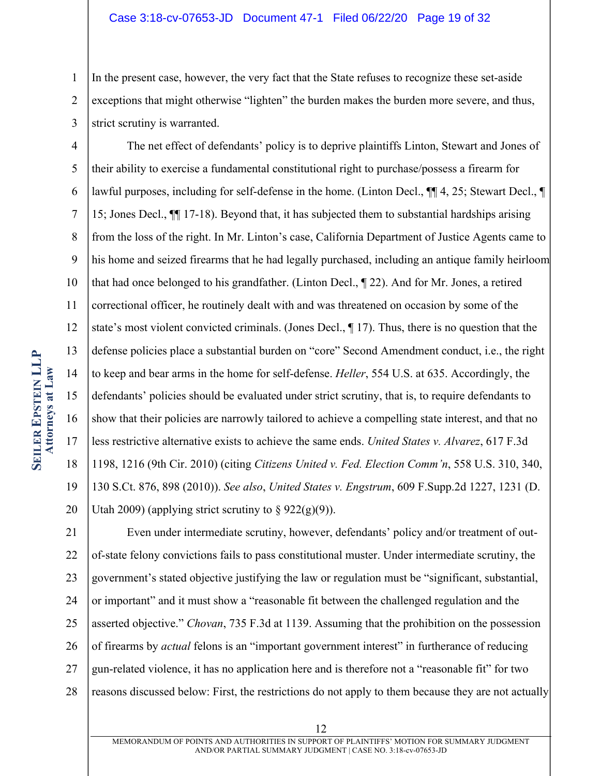#### Case 3:18-cv-07653-JD Document 47-1 Filed 06/22/20 Page 19 of 32

1 2 3 In the present case, however, the very fact that the State refuses to recognize these set-aside exceptions that might otherwise "lighten" the burden makes the burden more severe, and thus, strict scrutiny is warranted.

4 5 6 7 8 9 10 11 12 13 14 15 16 17 18 19 20 The net effect of defendants' policy is to deprive plaintiffs Linton, Stewart and Jones of their ability to exercise a fundamental constitutional right to purchase/possess a firearm for lawful purposes, including for self-defense in the home. (Linton Decl., ¶¶ 4, 25; Stewart Decl., ¶ 15; Jones Decl., ¶¶ 17-18). Beyond that, it has subjected them to substantial hardships arising from the loss of the right. In Mr. Linton's case, California Department of Justice Agents came to his home and seized firearms that he had legally purchased, including an antique family heirloom that had once belonged to his grandfather. (Linton Decl., ¶ 22). And for Mr. Jones, a retired correctional officer, he routinely dealt with and was threatened on occasion by some of the state's most violent convicted criminals. (Jones Decl., ¶ 17). Thus, there is no question that the defense policies place a substantial burden on "core" Second Amendment conduct, i.e., the right to keep and bear arms in the home for self-defense. *Heller*, 554 U.S. at 635. Accordingly, the defendants' policies should be evaluated under strict scrutiny, that is, to require defendants to show that their policies are narrowly tailored to achieve a compelling state interest, and that no less restrictive alternative exists to achieve the same ends. *United States v. Alvarez*, 617 F.3d 1198, 1216 (9th Cir. 2010) (citing *Citizens United v. Fed. Election Comm'n*, 558 U.S. 310, 340, 130 S.Ct. 876, 898 (2010)). *See also*, *United States v. Engstrum*, 609 F.Supp.2d 1227, 1231 (D. Utah 2009) (applying strict scrutiny to  $\S 922(g)(9)$ ).

21 22 23 24 25 26 27 28 Even under intermediate scrutiny, however, defendants' policy and/or treatment of outof-state felony convictions fails to pass constitutional muster. Under intermediate scrutiny, the government's stated objective justifying the law or regulation must be "significant, substantial, or important" and it must show a "reasonable fit between the challenged regulation and the asserted objective." *Chovan*, 735 F.3d at 1139. Assuming that the prohibition on the possession of firearms by *actual* felons is an "important government interest" in furtherance of reducing gun-related violence, it has no application here and is therefore not a "reasonable fit" for two reasons discussed below: First, the restrictions do not apply to them because they are not actually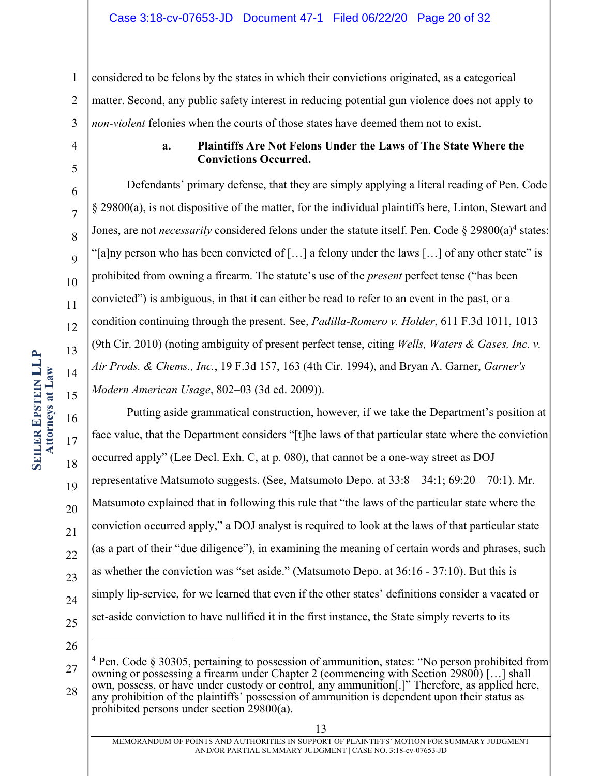1 2 3 considered to be felons by the states in which their convictions originated, as a categorical matter. Second, any public safety interest in reducing potential gun violence does not apply to *non-violent* felonies when the courts of those states have deemed them not to exist.

4 5

6

7

8

 $\overline{Q}$ 

10

11

12

13

14

15

17

18

19

21

23

# **a. Plaintiffs Are Not Felons Under the Laws of The State Where the Convictions Occurred.**

Defendants' primary defense, that they are simply applying a literal reading of Pen. Code § 29800(a), is not dispositive of the matter, for the individual plaintiffs here, Linton, Stewart and Jones, are not *necessarily* considered felons under the statute itself. Pen. Code  $\S 29800(a)^4$  states: "[a]ny person who has been convicted of [...] a felony under the laws [...] of any other state" is prohibited from owning a firearm. The statute's use of the *present* perfect tense ("has been convicted") is ambiguous, in that it can either be read to refer to an event in the past, or a condition continuing through the present. See, *Padilla-Romero v. Holder*, 611 F.3d 1011, 1013 (9th Cir. 2010) (noting ambiguity of present perfect tense, citing *Wells, Waters & Gases, Inc. v. Air Prods. & Chems., Inc.*, 19 F.3d 157, 163 (4th Cir. 1994), and Bryan A. Garner, *Garner's Modern American Usage*, 802–03 (3d ed. 2009)).

16 20 22 24 25 Putting aside grammatical construction, however, if we take the Department's position at face value, that the Department considers "[t]he laws of that particular state where the conviction occurred apply" (Lee Decl. Exh. C, at p. 080), that cannot be a one-way street as DOJ representative Matsumoto suggests. (See, Matsumoto Depo. at 33:8 – 34:1; 69:20 – 70:1). Mr. Matsumoto explained that in following this rule that "the laws of the particular state where the conviction occurred apply," a DOJ analyst is required to look at the laws of that particular state (as a part of their "due diligence"), in examining the meaning of certain words and phrases, such as whether the conviction was "set aside." (Matsumoto Depo. at 36:16 - 37:10). But this is simply lip-service, for we learned that even if the other states' definitions consider a vacated or set-aside conviction to have nullified it in the first instance, the State simply reverts to its

<sup>27</sup> 28  $4$  Pen. Code § 30305, pertaining to possession of ammunition, states: "No person prohibited from owning or possessing a firearm under Chapter 2 (commencing with Section 29800) […] shall own, possess, or have under custody or control, any ammunition[.]" Therefore, as applied here, any prohibition of the plaintiffs' possession of ammunition is dependent upon their status as

prohibited persons under section 29800(a).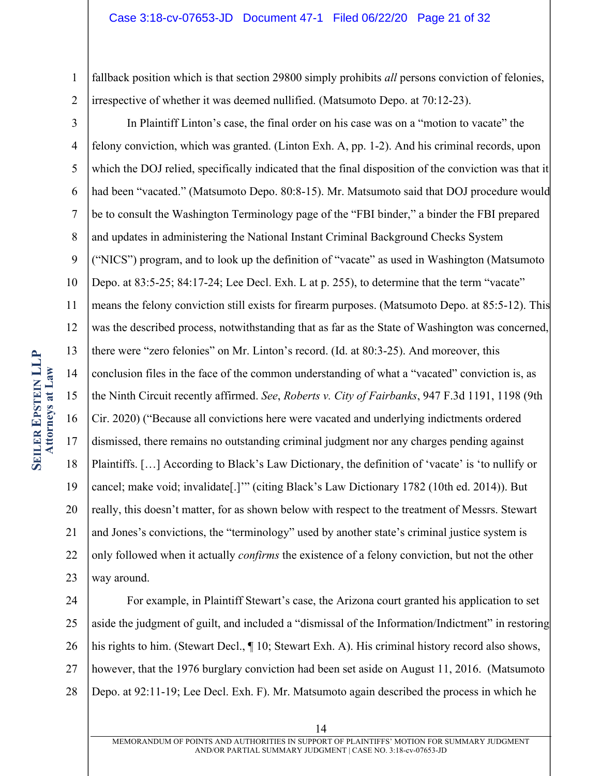#### Case 3:18-cv-07653-JD Document 47-1 Filed 06/22/20 Page 21 of 32

1 2 fallback position which is that section 29800 simply prohibits *all* persons conviction of felonies, irrespective of whether it was deemed nullified. (Matsumoto Depo. at 70:12-23).

3 4 5 6 7 8 9 10 11 12 13 14 15 16 17 18 19 20 21 22 23 In Plaintiff Linton's case, the final order on his case was on a "motion to vacate" the felony conviction, which was granted. (Linton Exh. A, pp. 1-2). And his criminal records, upon which the DOJ relied, specifically indicated that the final disposition of the conviction was that it had been "vacated." (Matsumoto Depo. 80:8-15). Mr. Matsumoto said that DOJ procedure would be to consult the Washington Terminology page of the "FBI binder," a binder the FBI prepared and updates in administering the National Instant Criminal Background Checks System ("NICS") program, and to look up the definition of "vacate" as used in Washington (Matsumoto Depo. at 83:5-25; 84:17-24; Lee Decl. Exh. L at p. 255), to determine that the term "vacate" means the felony conviction still exists for firearm purposes. (Matsumoto Depo. at 85:5-12). This was the described process, notwithstanding that as far as the State of Washington was concerned, there were "zero felonies" on Mr. Linton's record. (Id. at 80:3-25). And moreover, this conclusion files in the face of the common understanding of what a "vacated" conviction is, as the Ninth Circuit recently affirmed. *See*, *Roberts v. City of Fairbanks*, 947 F.3d 1191, 1198 (9th Cir. 2020) ("Because all convictions here were vacated and underlying indictments ordered dismissed, there remains no outstanding criminal judgment nor any charges pending against Plaintiffs. […] According to Black's Law Dictionary, the definition of 'vacate' is 'to nullify or cancel; make void; invalidate[.]'" (citing Black's Law Dictionary 1782 (10th ed. 2014)). But really, this doesn't matter, for as shown below with respect to the treatment of Messrs. Stewart and Jones's convictions, the "terminology" used by another state's criminal justice system is only followed when it actually *confirms* the existence of a felony conviction, but not the other way around.

24 25 26 27 28 For example, in Plaintiff Stewart's case, the Arizona court granted his application to set aside the judgment of guilt, and included a "dismissal of the Information/Indictment" in restoring his rights to him. (Stewart Decl.,  $\P$  10; Stewart Exh. A). His criminal history record also shows, however, that the 1976 burglary conviction had been set aside on August 11, 2016. (Matsumoto Depo. at 92:11-19; Lee Decl. Exh. F). Mr. Matsumoto again described the process in which he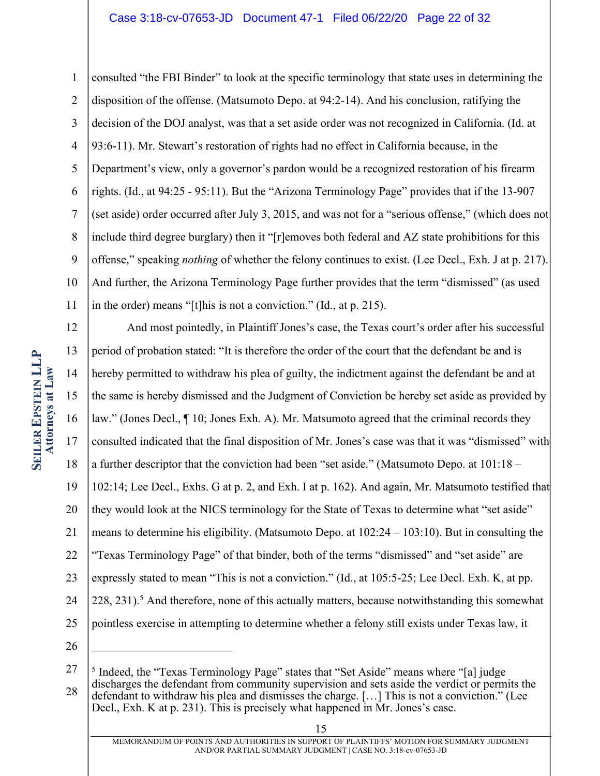1 2 3 4 5 6 7 8 9 10 11 consulted "the FBI Binder" to look at the specific terminology that state uses in determining the disposition of the offense. (Matsumoto Depo. at 94:2-14). And his conclusion, ratifying the decision of the DOJ analyst, was that a set aside order was not recognized in California. (Id. at 93:6-11). Mr. Stewart's restoration of rights had no effect in California because, in the Department's view, only a governor's pardon would be a recognized restoration of his firearm rights. (Id., at 94:25 - 95:11). But the "Arizona Terminology Page" provides that if the 13-907 (set aside) order occurred after July 3, 2015, and was not for a "serious offense," (which does not include third degree burglary) then it "[r]emoves both federal and AZ state prohibitions for this offense," speaking *nothing* of whether the felony continues to exist. (Lee Decl., Exh. J at p. 217). And further, the Arizona Terminology Page further provides that the term "dismissed" (as used in the order) means "[t]his is not a conviction." (Id., at p. 215).

12 13 14 15 16 17 18 19 20 21 22 23 24 25 26 And most pointedly, in Plaintiff Jones's case, the Texas court's order after his successful period of probation stated: "It is therefore the order of the court that the defendant be and is hereby permitted to withdraw his plea of guilty, the indictment against the defendant be and at the same is hereby dismissed and the Judgment of Conviction be hereby set aside as provided by law." (Jones Decl., ¶ 10; Jones Exh. A). Mr. Matsumoto agreed that the criminal records they consulted indicated that the final disposition of Mr. Jones's case was that it was "dismissed" with a further descriptor that the conviction had been "set aside." (Matsumoto Depo. at 101:18 – 102:14; Lee Decl., Exhs. G at p. 2, and Exh. I at p. 162). And again, Mr. Matsumoto testified that they would look at the NICS terminology for the State of Texas to determine what "set aside" means to determine his eligibility. (Matsumoto Depo. at 102:24 – 103:10). But in consulting the "Texas Terminology Page" of that binder, both of the terms "dismissed" and "set aside" are expressly stated to mean "This is not a conviction." (Id., at 105:5-25; Lee Decl. Exh. K, at pp.  $228$ ,  $231$ ).<sup>5</sup> And therefore, none of this actually matters, because notwithstanding this somewhat pointless exercise in attempting to determine whether a felony still exists under Texas law, it

<sup>27</sup> 28 <sup>5</sup> Indeed, the "Texas Terminology Page" states that "Set Aside" means where "[a] judge discharges the defendant from community supervision and sets aside the verdict or permits the defendant to withdraw his plea and dismisses the charge. […] This is not a conviction." (Lee Decl., Exh. K at p. 231). This is precisely what happened in Mr. Jones's case.

<sup>15</sup>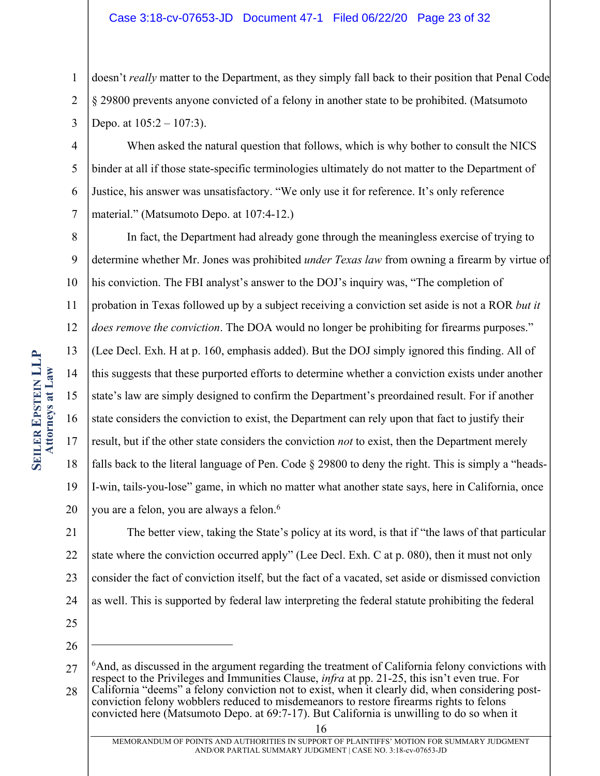#### Case 3:18-cv-07653-JD Document 47-1 Filed 06/22/20 Page 23 of 32

1 2 3 doesn't *really* matter to the Department, as they simply fall back to their position that Penal Code § 29800 prevents anyone convicted of a felony in another state to be prohibited. (Matsumoto Depo. at  $105:2 - 107:3$ ).

4 5 6 7 When asked the natural question that follows, which is why bother to consult the NICS binder at all if those state-specific terminologies ultimately do not matter to the Department of Justice, his answer was unsatisfactory. "We only use it for reference. It's only reference material." (Matsumoto Depo. at 107:4-12.)

8 9 10 11 12 13 14 15 16 17 18 19 20 In fact, the Department had already gone through the meaningless exercise of trying to determine whether Mr. Jones was prohibited *under Texas law* from owning a firearm by virtue of his conviction. The FBI analyst's answer to the DOJ's inquiry was, "The completion of probation in Texas followed up by a subject receiving a conviction set aside is not a ROR *but it does remove the conviction*. The DOA would no longer be prohibiting for firearms purposes." (Lee Decl. Exh. H at p. 160, emphasis added). But the DOJ simply ignored this finding. All of this suggests that these purported efforts to determine whether a conviction exists under another state's law are simply designed to confirm the Department's preordained result. For if another state considers the conviction to exist, the Department can rely upon that fact to justify their result, but if the other state considers the conviction *not* to exist, then the Department merely falls back to the literal language of Pen. Code  $\S$  29800 to deny the right. This is simply a "heads-I-win, tails-you-lose" game, in which no matter what another state says, here in California, once you are a felon, you are always a felon.6

21 22 23 24 The better view, taking the State's policy at its word, is that if "the laws of that particular state where the conviction occurred apply" (Lee Decl. Exh. C at p. 080), then it must not only consider the fact of conviction itself, but the fact of a vacated, set aside or dismissed conviction as well. This is supported by federal law interpreting the federal statute prohibiting the federal

- 25
- 26

conviction felony wobblers reduced to misdemeanors to restore firearms rights to felons convicted here (Matsumoto Depo. at 69:7-17). But California is unwilling to do so when it

<sup>27</sup> 28  $6$ And, as discussed in the argument regarding the treatment of California felony convictions with respect to the Privileges and Immunities Clause, *infra* at pp. 21-25, this isn't even true. For California "deems" a felony conviction not to exist, when it clearly did, when considering post-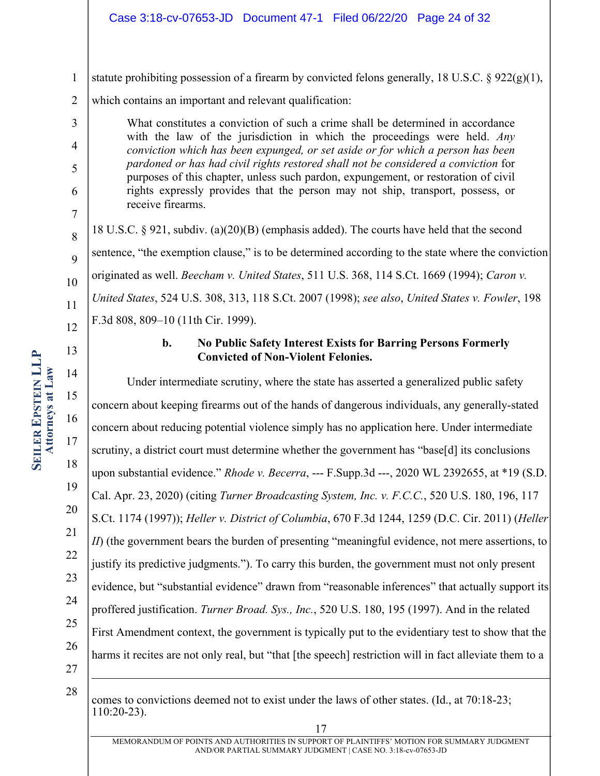- 1 statute prohibiting possession of a firearm by convicted felons generally, 18 U.S.C. § 922(g)(1),
- 2 which contains an important and relevant qualification:

What constitutes a conviction of such a crime shall be determined in accordance with the law of the jurisdiction in which the proceedings were held. *Any conviction which has been expunged, or set aside or for which a person has been pardoned or has had civil rights restored shall not be considered a conviction* for purposes of this chapter, unless such pardon, expungement, or restoration of civil rights expressly provides that the person may not ship, transport, possess, or receive firearms.

8  $\overline{Q}$ 10 11 12 18 U.S.C.  $\S 921$ , subdiv. (a)(20)(B) (emphasis added). The courts have held that the second sentence, "the exemption clause," is to be determined according to the state where the conviction originated as well. *Beecham v. United States*, 511 U.S. 368, 114 S.Ct. 1669 (1994); *Caron v. United States*, 524 U.S. 308, 313, 118 S.Ct. 2007 (1998); *see also*, *United States v. Fowler*, 198 F.3d 808, 809–10 (11th Cir. 1999).

# **b. No Public Safety Interest Exists for Barring Persons Formerly Convicted of Non-Violent Felonies.**

Under intermediate scrutiny, where the state has asserted a generalized public safety concern about keeping firearms out of the hands of dangerous individuals, any generally-stated concern about reducing potential violence simply has no application here. Under intermediate scrutiny, a district court must determine whether the government has "base[d] its conclusions upon substantial evidence." *Rhode v. Becerra*, --- F.Supp.3d ---, 2020 WL 2392655, at \*19 (S.D. Cal. Apr. 23, 2020) (citing *Turner Broadcasting System, Inc. v. F.C.C.*, 520 U.S. 180, 196, 117 S.Ct. 1174 (1997)); *Heller v. District of Columbia*, 670 F.3d 1244, 1259 (D.C. Cir. 2011) (*Heller II*) (the government bears the burden of presenting "meaningful evidence, not mere assertions, to justify its predictive judgments."). To carry this burden, the government must not only present evidence, but "substantial evidence" drawn from "reasonable inferences" that actually support its proffered justification. *Turner Broad. Sys., Inc.*, 520 U.S. 180, 195 (1997). And in the related First Amendment context, the government is typically put to the evidentiary test to show that the harms it recites are not only real, but "that [the speech] restriction will in fact alleviate them to a

28

27

comes to convictions deemed not to exist under the laws of other states. (Id., at 70:18-23; 110:20-23).

3

4

5

6

7

13

14

15

16

17

18

19

20

21

22

23

24

25

26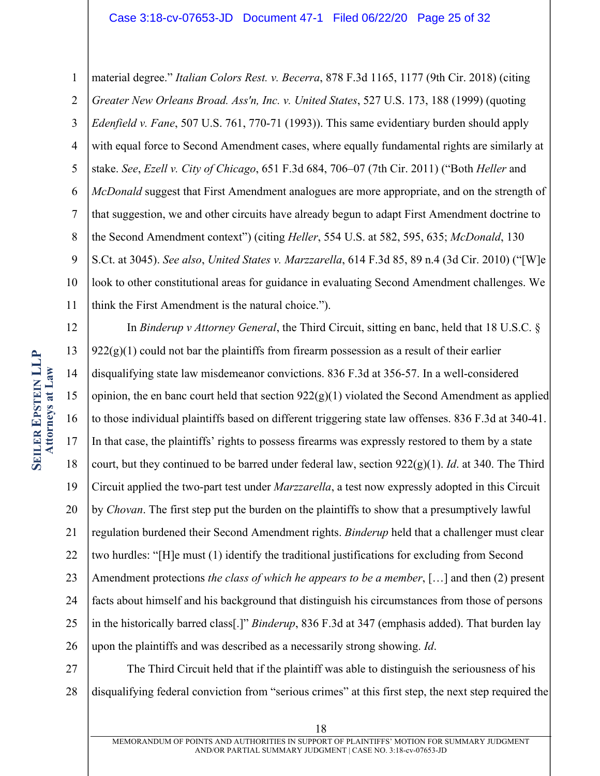1 2 3 4 5 6 7 8 9 10 11 material degree." *Italian Colors Rest. v. Becerra*, 878 F.3d 1165, 1177 (9th Cir. 2018) (citing *Greater New Orleans Broad. Ass'n, Inc. v. United States*, 527 U.S. 173, 188 (1999) (quoting *Edenfield v. Fane*, 507 U.S. 761, 770-71 (1993)). This same evidentiary burden should apply with equal force to Second Amendment cases, where equally fundamental rights are similarly at stake. *See*, *Ezell v. City of Chicago*, 651 F.3d 684, 706–07 (7th Cir. 2011) ("Both *Heller* and *McDonald* suggest that First Amendment analogues are more appropriate, and on the strength of that suggestion, we and other circuits have already begun to adapt First Amendment doctrine to the Second Amendment context") (citing *Heller*, 554 U.S. at 582, 595, 635; *McDonald*, 130 S.Ct. at 3045). *See also*, *United States v. Marzzarella*, 614 F.3d 85, 89 n.4 (3d Cir. 2010) ("[W]e look to other constitutional areas for guidance in evaluating Second Amendment challenges. We

**SEILER EPSTEIN LLP EPSTEIN LLP Attorneys at Attorneys at Law** 

12 13 14 15 16 17 18 19 20 21 22 23 24 25 26 think the First Amendment is the natural choice."). In *Binderup v Attorney General*, the Third Circuit, sitting en banc, held that 18 U.S.C. §  $922(g)(1)$  could not bar the plaintiffs from firearm possession as a result of their earlier disqualifying state law misdemeanor convictions. 836 F.3d at 356-57. In a well-considered opinion, the en banc court held that section  $922(g)(1)$  violated the Second Amendment as applied to those individual plaintiffs based on different triggering state law offenses. 836 F.3d at 340-41. In that case, the plaintiffs' rights to possess firearms was expressly restored to them by a state court, but they continued to be barred under federal law, section  $922(g)(1)$ . *Id.* at 340. The Third Circuit applied the two-part test under *Marzzarella*, a test now expressly adopted in this Circuit by *Chovan*. The first step put the burden on the plaintiffs to show that a presumptively lawful regulation burdened their Second Amendment rights. *Binderup* held that a challenger must clear two hurdles: "[H]e must (1) identify the traditional justifications for excluding from Second Amendment protections *the class of which he appears to be a member*, […] and then (2) present facts about himself and his background that distinguish his circumstances from those of persons in the historically barred class[.]" *Binderup*, 836 F.3d at 347 (emphasis added). That burden lay upon the plaintiffs and was described as a necessarily strong showing. *Id*.

27 28 The Third Circuit held that if the plaintiff was able to distinguish the seriousness of his disqualifying federal conviction from "serious crimes" at this first step, the next step required the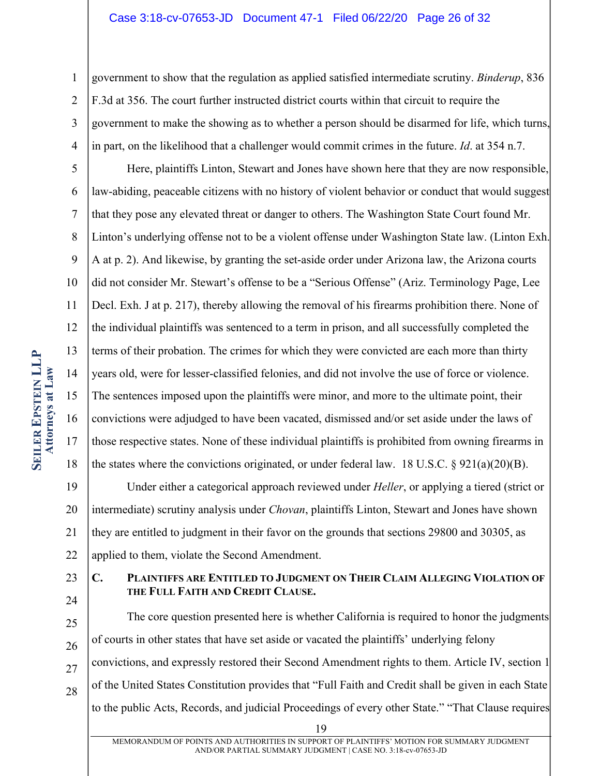#### Case 3:18-cv-07653-JD Document 47-1 Filed 06/22/20 Page 26 of 32

1 2 3 4 government to show that the regulation as applied satisfied intermediate scrutiny. *Binderup*, 836 F.3d at 356. The court further instructed district courts within that circuit to require the government to make the showing as to whether a person should be disarmed for life, which turns, in part, on the likelihood that a challenger would commit crimes in the future. *Id*. at 354 n.7.

5 6 7 8 9 10 11 12 13 14 15 16 17 18 Here, plaintiffs Linton, Stewart and Jones have shown here that they are now responsible, law-abiding, peaceable citizens with no history of violent behavior or conduct that would suggest that they pose any elevated threat or danger to others. The Washington State Court found Mr. Linton's underlying offense not to be a violent offense under Washington State law. (Linton Exh. A at p. 2). And likewise, by granting the set-aside order under Arizona law, the Arizona courts did not consider Mr. Stewart's offense to be a "Serious Offense" (Ariz. Terminology Page, Lee Decl. Exh. J at p. 217), thereby allowing the removal of his firearms prohibition there. None of the individual plaintiffs was sentenced to a term in prison, and all successfully completed the terms of their probation. The crimes for which they were convicted are each more than thirty years old, were for lesser-classified felonies, and did not involve the use of force or violence. The sentences imposed upon the plaintiffs were minor, and more to the ultimate point, their convictions were adjudged to have been vacated, dismissed and/or set aside under the laws of those respective states. None of these individual plaintiffs is prohibited from owning firearms in the states where the convictions originated, or under federal law. 18 U.S.C.  $\S 921(a)(20)(B)$ .

19 20 21 22 Under either a categorical approach reviewed under *Heller*, or applying a tiered (strict or intermediate) scrutiny analysis under *Chovan*, plaintiffs Linton, Stewart and Jones have shown they are entitled to judgment in their favor on the grounds that sections 29800 and 30305, as applied to them, violate the Second Amendment.

23

# 24

25

26

27

28

The core question presented here is whether California is required to honor the judgments of courts in other states that have set aside or vacated the plaintiffs' underlying felony convictions, and expressly restored their Second Amendment rights to them. Article IV, section 1 of the United States Constitution provides that "Full Faith and Credit shall be given in each State to the public Acts, Records, and judicial Proceedings of every other State." "That Clause requires

**C. PLAINTIFFS ARE ENTITLED TO JUDGMENT ON THEIR CLAIM ALLEGING VIOLATION OF** 

**THE FULL FAITH AND CREDIT CLAUSE.**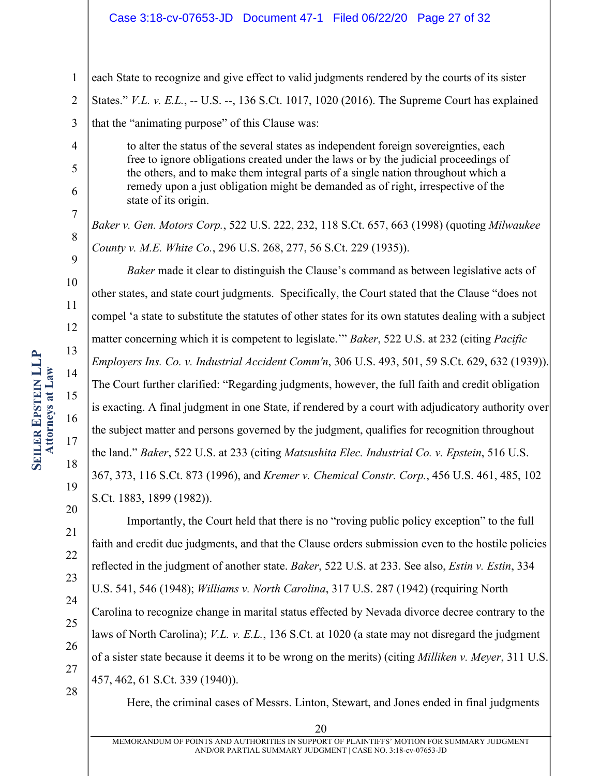#### Case 3:18-cv-07653-JD Document 47-1 Filed 06/22/20 Page 27 of 32

10 11 12 13 14 15 16 **SEILER EPSTEIN LLP EPSTEIN LLP Attorneys at Attorneys at Law** 

4

5

6

7

8

 $\overline{Q}$ 

17

18

19

20

21

22

23

24

25

26

27

28

1 each State to recognize and give effect to valid judgments rendered by the courts of its sister

2 States." *V.L. v. E.L.*, -- U.S. --, 136 S.Ct. 1017, 1020 (2016). The Supreme Court has explained

3 that the "animating purpose" of this Clause was:

> to alter the status of the several states as independent foreign sovereignties, each free to ignore obligations created under the laws or by the judicial proceedings of the others, and to make them integral parts of a single nation throughout which a remedy upon a just obligation might be demanded as of right, irrespective of the state of its origin.

*Baker v. Gen. Motors Corp.*, 522 U.S. 222, 232, 118 S.Ct. 657, 663 (1998) (quoting *Milwaukee County v. M.E. White Co.*, 296 U.S. 268, 277, 56 S.Ct. 229 (1935)).

*Baker* made it clear to distinguish the Clause's command as between legislative acts of other states, and state court judgments. Specifically, the Court stated that the Clause "does not compel 'a state to substitute the statutes of other states for its own statutes dealing with a subject matter concerning which it is competent to legislate.'" *Baker*, 522 U.S. at 232 (citing *Pacific Employers Ins. Co. v. Industrial Accident Comm'n*, 306 U.S. 493, 501, 59 S.Ct. 629, 632 (1939)). The Court further clarified: "Regarding judgments, however, the full faith and credit obligation is exacting. A final judgment in one State, if rendered by a court with adjudicatory authority over the subject matter and persons governed by the judgment, qualifies for recognition throughout the land." *Baker*, 522 U.S. at 233 (citing *Matsushita Elec. Industrial Co. v. Epstein*, 516 U.S. 367, 373, 116 S.Ct. 873 (1996), and *Kremer v. Chemical Constr. Corp.*, 456 U.S. 461, 485, 102 S.Ct. 1883, 1899 (1982)).

Importantly, the Court held that there is no "roving public policy exception" to the full faith and credit due judgments, and that the Clause orders submission even to the hostile policies reflected in the judgment of another state. *Baker*, 522 U.S. at 233. See also, *Estin v. Estin*, 334 U.S. 541, 546 (1948); *Williams v. North Carolina*, 317 U.S. 287 (1942) (requiring North Carolina to recognize change in marital status effected by Nevada divorce decree contrary to the laws of North Carolina); *V.L. v. E.L.*, 136 S.Ct. at 1020 (a state may not disregard the judgment of a sister state because it deems it to be wrong on the merits) (citing *Milliken v. Meyer*, 311 U.S. 457, 462, 61 S.Ct. 339 (1940)).

Here, the criminal cases of Messrs. Linton, Stewart, and Jones ended in final judgments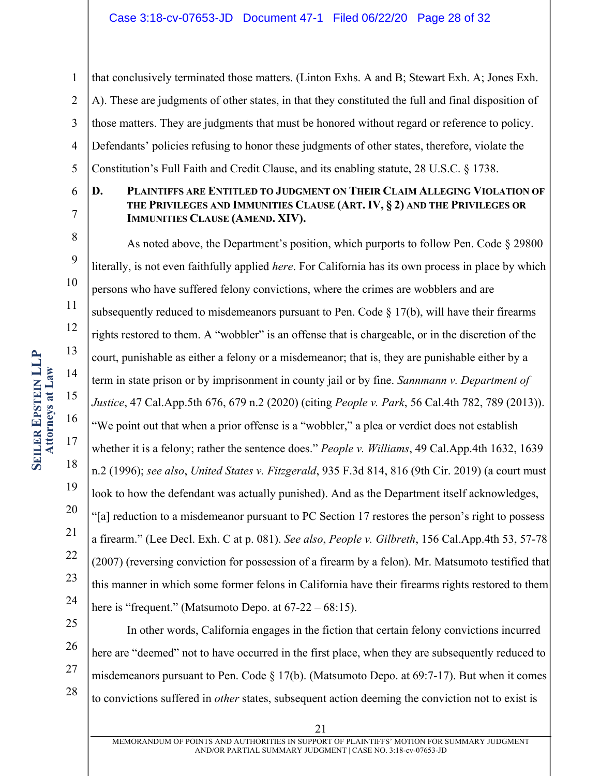6

7

8

9

10

11

12

13

14

15

16

17

18

19

20

21

22

23

24

1 2 3 4 5 that conclusively terminated those matters. (Linton Exhs. A and B; Stewart Exh. A; Jones Exh. A). These are judgments of other states, in that they constituted the full and final disposition of those matters. They are judgments that must be honored without regard or reference to policy. Defendants' policies refusing to honor these judgments of other states, therefore, violate the Constitution's Full Faith and Credit Clause, and its enabling statute, 28 U.S.C. § 1738.

### **D. PLAINTIFFS ARE ENTITLED TO JUDGMENT ON THEIR CLAIM ALLEGING VIOLATION OF THE PRIVILEGES AND IMMUNITIES CLAUSE (ART. IV, § 2) AND THE PRIVILEGES OR IMMUNITIES CLAUSE (AMEND. XIV).**

As noted above, the Department's position, which purports to follow Pen. Code § 29800 literally, is not even faithfully applied *here*. For California has its own process in place by which persons who have suffered felony convictions, where the crimes are wobblers and are subsequently reduced to misdemeanors pursuant to Pen. Code  $\S 17(b)$ , will have their firearms rights restored to them. A "wobbler" is an offense that is chargeable, or in the discretion of the court, punishable as either a felony or a misdemeanor; that is, they are punishable either by a term in state prison or by imprisonment in county jail or by fine. *Sannmann v. Department of Justice*, 47 Cal.App.5th 676, 679 n.2 (2020) (citing *People v. Park*, 56 Cal.4th 782, 789 (2013)). "We point out that when a prior offense is a "wobbler," a plea or verdict does not establish whether it is a felony; rather the sentence does." *People v. Williams*, 49 Cal.App.4th 1632, 1639 n.2 (1996); *see also*, *United States v. Fitzgerald*, 935 F.3d 814, 816 (9th Cir. 2019) (a court must look to how the defendant was actually punished). And as the Department itself acknowledges, "[a] reduction to a misdemeanor pursuant to PC Section 17 restores the person's right to possess a firearm." (Lee Decl. Exh. C at p. 081). *See also*, *People v. Gilbreth*, 156 Cal.App.4th 53, 57-78 (2007) (reversing conviction for possession of a firearm by a felon). Mr. Matsumoto testified that this manner in which some former felons in California have their firearms rights restored to them here is "frequent." (Matsumoto Depo. at  $67-22-68:15$ ).

- 25
- 26
- 27
- 28

21

to convictions suffered in *other* states, subsequent action deeming the conviction not to exist is

here are "deemed" not to have occurred in the first place, when they are subsequently reduced to

misdemeanors pursuant to Pen. Code  $\S 17(b)$ . (Matsumoto Depo. at 69:7-17). But when it comes

In other words, California engages in the fiction that certain felony convictions incurred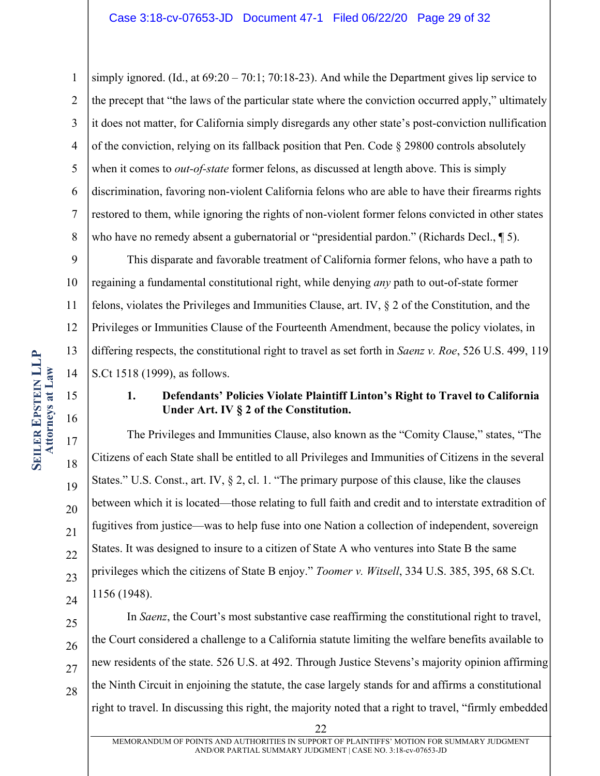1 2 3 4 5 6 7 8 simply ignored. (Id., at 69:20 – 70:1; 70:18-23). And while the Department gives lip service to the precept that "the laws of the particular state where the conviction occurred apply," ultimately it does not matter, for California simply disregards any other state's post-conviction nullification of the conviction, relying on its fallback position that Pen. Code  $\S$  29800 controls absolutely when it comes to *out-of-state* former felons, as discussed at length above. This is simply discrimination, favoring non-violent California felons who are able to have their firearms rights restored to them, while ignoring the rights of non-violent former felons convicted in other states who have no remedy absent a gubernatorial or "presidential pardon." (Richards Decl., 15).

9 10 11 12 13 14 This disparate and favorable treatment of California former felons, who have a path to regaining a fundamental constitutional right, while denying *any* path to out-of-state former felons, violates the Privileges and Immunities Clause, art. IV, § 2 of the Constitution, and the Privileges or Immunities Clause of the Fourteenth Amendment, because the policy violates, in differing respects, the constitutional right to travel as set forth in *Saenz v. Roe*, 526 U.S. 499, 119 S.Ct 1518 (1999), as follows.

# **1. Defendants' Policies Violate Plaintiff Linton's Right to Travel to California Under Art. IV § 2 of the Constitution.**

The Privileges and Immunities Clause, also known as the "Comity Clause," states, "The Citizens of each State shall be entitled to all Privileges and Immunities of Citizens in the several States." U.S. Const., art. IV, § 2, cl. 1. "The primary purpose of this clause, like the clauses between which it is located—those relating to full faith and credit and to interstate extradition of fugitives from justice—was to help fuse into one Nation a collection of independent, sovereign States. It was designed to insure to a citizen of State A who ventures into State B the same privileges which the citizens of State B enjoy." *Toomer v. Witsell*, 334 U.S. 385, 395, 68 S.Ct. 1156 (1948).

25 26 27 28 In *Saenz*, the Court's most substantive case reaffirming the constitutional right to travel, the Court considered a challenge to a California statute limiting the welfare benefits available to new residents of the state. 526 U.S. at 492. Through Justice Stevens's majority opinion affirming the Ninth Circuit in enjoining the statute, the case largely stands for and affirms a constitutional right to travel. In discussing this right, the majority noted that a right to travel, "firmly embedded

15

16

17

18

19

20

21

22

23

24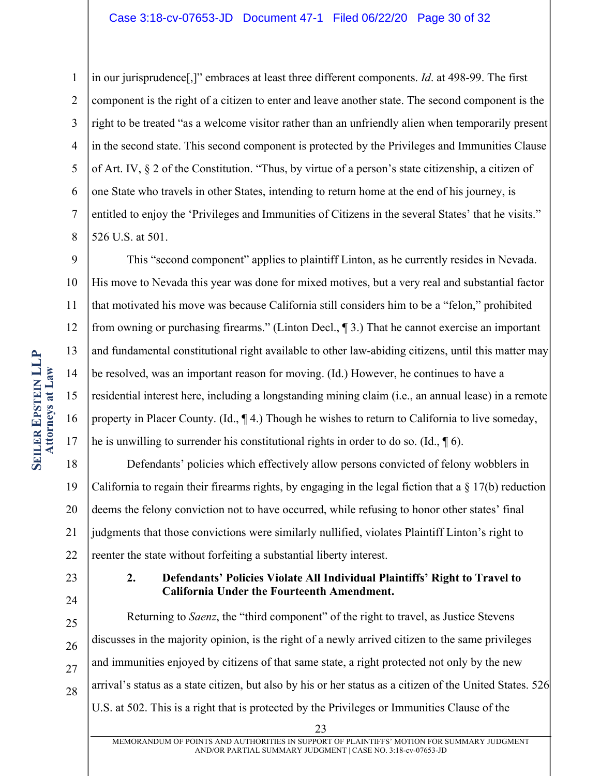#### Case 3:18-cv-07653-JD Document 47-1 Filed 06/22/20 Page 30 of 32

1 2 3 4 5 6 7 8 in our jurisprudence[,]" embraces at least three different components. *Id*. at 498-99. The first component is the right of a citizen to enter and leave another state. The second component is the right to be treated "as a welcome visitor rather than an unfriendly alien when temporarily present in the second state. This second component is protected by the Privileges and Immunities Clause of Art. IV, § 2 of the Constitution. "Thus, by virtue of a person's state citizenship, a citizen of one State who travels in other States, intending to return home at the end of his journey, is entitled to enjoy the 'Privileges and Immunities of Citizens in the several States' that he visits." 526 U.S. at 501.

9 10 11 12 13 14 15 16 17 This "second component" applies to plaintiff Linton, as he currently resides in Nevada. His move to Nevada this year was done for mixed motives, but a very real and substantial factor that motivated his move was because California still considers him to be a "felon," prohibited from owning or purchasing firearms." (Linton Decl., ¶ 3.) That he cannot exercise an important and fundamental constitutional right available to other law-abiding citizens, until this matter may be resolved, was an important reason for moving. (Id.) However, he continues to have a residential interest here, including a longstanding mining claim (i.e., an annual lease) in a remote property in Placer County. (Id., ¶ 4.) Though he wishes to return to California to live someday, he is unwilling to surrender his constitutional rights in order to do so. (Id., ¶ 6).

18 19 20 21 22 Defendants' policies which effectively allow persons convicted of felony wobblers in California to regain their firearms rights, by engaging in the legal fiction that a  $\S 17(b)$  reduction deems the felony conviction not to have occurred, while refusing to honor other states' final judgments that those convictions were similarly nullified, violates Plaintiff Linton's right to reenter the state without forfeiting a substantial liberty interest.

23

24

### **2. Defendants' Policies Violate All Individual Plaintiffs' Right to Travel to California Under the Fourteenth Amendment.**

25 26 27 28 Returning to *Saenz*, the "third component" of the right to travel, as Justice Stevens discusses in the majority opinion, is the right of a newly arrived citizen to the same privileges and immunities enjoyed by citizens of that same state, a right protected not only by the new arrival's status as a state citizen, but also by his or her status as a citizen of the United States. 526 U.S. at 502. This is a right that is protected by the Privileges or Immunities Clause of the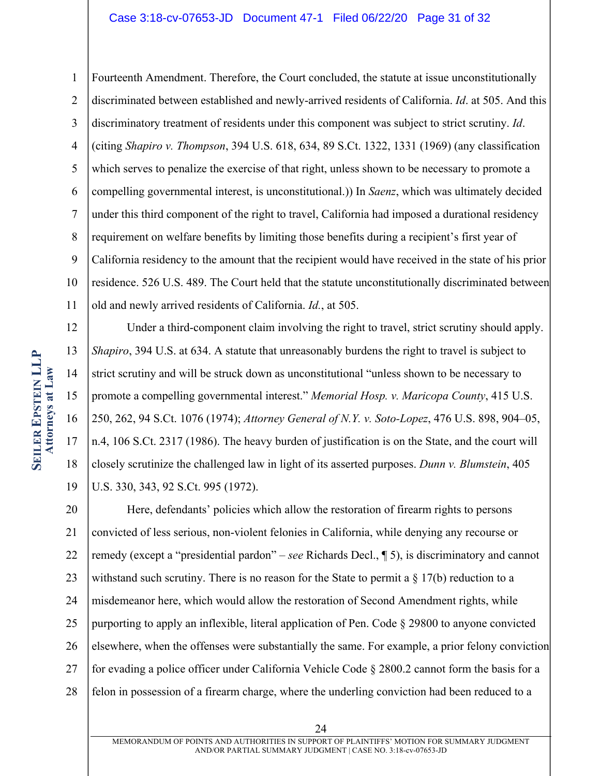#### Case 3:18-cv-07653-JD Document 47-1 Filed 06/22/20 Page 31 of 32

1 2 3 4 5 6 7 8 9 10 11 Fourteenth Amendment. Therefore, the Court concluded, the statute at issue unconstitutionally discriminated between established and newly-arrived residents of California. *Id*. at 505. And this discriminatory treatment of residents under this component was subject to strict scrutiny. *Id*. (citing *Shapiro v. Thompson*, 394 U.S. 618, 634, 89 S.Ct. 1322, 1331 (1969) (any classification which serves to penalize the exercise of that right, unless shown to be necessary to promote a compelling governmental interest, is unconstitutional.)) In *Saenz*, which was ultimately decided under this third component of the right to travel, California had imposed a durational residency requirement on welfare benefits by limiting those benefits during a recipient's first year of California residency to the amount that the recipient would have received in the state of his prior residence. 526 U.S. 489. The Court held that the statute unconstitutionally discriminated between old and newly arrived residents of California. *Id.*, at 505.

12 13 14 15 16 17 18 19 Under a third-component claim involving the right to travel, strict scrutiny should apply. *Shapiro*, 394 U.S. at 634. A statute that unreasonably burdens the right to travel is subject to strict scrutiny and will be struck down as unconstitutional "unless shown to be necessary to promote a compelling governmental interest." *Memorial Hosp. v. Maricopa County*, 415 U.S. 250, 262, 94 S.Ct. 1076 (1974); *Attorney General of N.Y. v. Soto-Lopez*, 476 U.S. 898, 904–05, n.4, 106 S.Ct. 2317 (1986). The heavy burden of justification is on the State, and the court will closely scrutinize the challenged law in light of its asserted purposes. *Dunn v. Blumstein*, 405 U.S. 330, 343, 92 S.Ct. 995 (1972).

20 21 22 23 24 25 26 27 28 Here, defendants' policies which allow the restoration of firearm rights to persons convicted of less serious, non-violent felonies in California, while denying any recourse or remedy (except a "presidential pardon" – *see* Richards Decl., ¶ 5), is discriminatory and cannot withstand such scrutiny. There is no reason for the State to permit a  $\S 17(b)$  reduction to a misdemeanor here, which would allow the restoration of Second Amendment rights, while purporting to apply an inflexible, literal application of Pen. Code § 29800 to anyone convicted elsewhere, when the offenses were substantially the same. For example, a prior felony conviction for evading a police officer under California Vehicle Code § 2800.2 cannot form the basis for a felon in possession of a firearm charge, where the underling conviction had been reduced to a